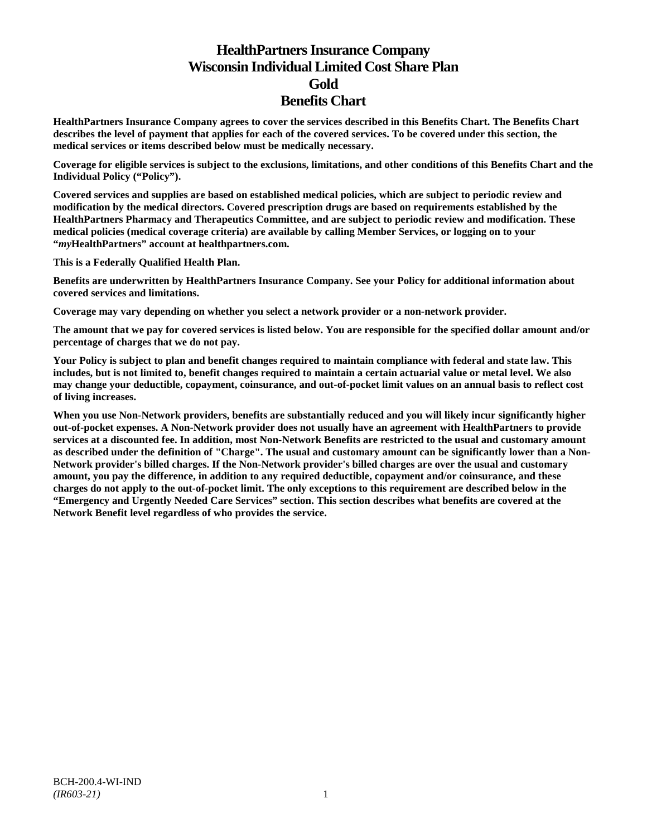# **HealthPartners Insurance Company Wisconsin Individual Limited Cost Share Plan Gold Benefits Chart**

**HealthPartners Insurance Company agrees to cover the services described in this Benefits Chart. The Benefits Chart describes the level of payment that applies for each of the covered services. To be covered under this section, the medical services or items described below must be medically necessary.**

**Coverage for eligible services is subject to the exclusions, limitations, and other conditions of this Benefits Chart and the Individual Policy ("Policy").**

**Covered services and supplies are based on established medical policies, which are subject to periodic review and modification by the medical directors. Covered prescription drugs are based on requirements established by the HealthPartners Pharmacy and Therapeutics Committee, and are subject to periodic review and modification. These medical policies (medical coverage criteria) are available by calling Member Services, or logging on to your "***my***HealthPartners" account at [healthpartners.com.](http://www.healthpartners.com/)**

**This is a Federally Qualified Health Plan.**

**Benefits are underwritten by HealthPartners Insurance Company. See your Policy for additional information about covered services and limitations.**

**Coverage may vary depending on whether you select a network provider or a non-network provider.**

**The amount that we pay for covered services is listed below. You are responsible for the specified dollar amount and/or percentage of charges that we do not pay.**

**Your Policy is subject to plan and benefit changes required to maintain compliance with federal and state law. This includes, but is not limited to, benefit changes required to maintain a certain actuarial value or metal level. We also may change your deductible, copayment, coinsurance, and out-of-pocket limit values on an annual basis to reflect cost of living increases.**

**When you use Non-Network providers, benefits are substantially reduced and you will likely incur significantly higher out-of-pocket expenses. A Non-Network provider does not usually have an agreement with HealthPartners to provide services at a discounted fee. In addition, most Non-Network Benefits are restricted to the usual and customary amount as described under the definition of "Charge". The usual and customary amount can be significantly lower than a Non-Network provider's billed charges. If the Non-Network provider's billed charges are over the usual and customary amount, you pay the difference, in addition to any required deductible, copayment and/or coinsurance, and these charges do not apply to the out-of-pocket limit. The only exceptions to this requirement are described below in the "Emergency and Urgently Needed Care Services" section. This section describes what benefits are covered at the Network Benefit level regardless of who provides the service.**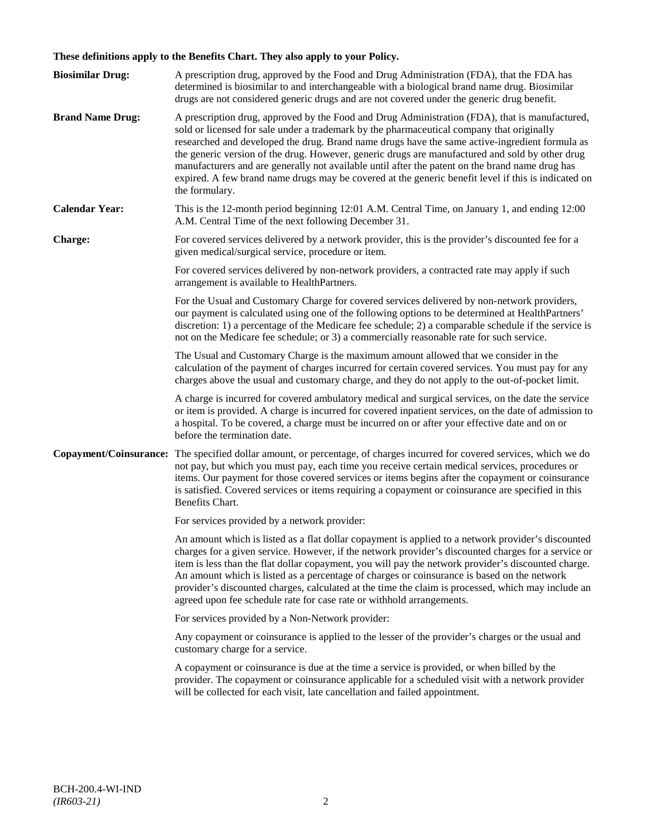# **These definitions apply to the Benefits Chart. They also apply to your Policy.**

| <b>Biosimilar Drug:</b> | A prescription drug, approved by the Food and Drug Administration (FDA), that the FDA has<br>determined is biosimilar to and interchangeable with a biological brand name drug. Biosimilar<br>drugs are not considered generic drugs and are not covered under the generic drug benefit.                                                                                                                                                                                                                                                                                                                                     |
|-------------------------|------------------------------------------------------------------------------------------------------------------------------------------------------------------------------------------------------------------------------------------------------------------------------------------------------------------------------------------------------------------------------------------------------------------------------------------------------------------------------------------------------------------------------------------------------------------------------------------------------------------------------|
| <b>Brand Name Drug:</b> | A prescription drug, approved by the Food and Drug Administration (FDA), that is manufactured,<br>sold or licensed for sale under a trademark by the pharmaceutical company that originally<br>researched and developed the drug. Brand name drugs have the same active-ingredient formula as<br>the generic version of the drug. However, generic drugs are manufactured and sold by other drug<br>manufacturers and are generally not available until after the patent on the brand name drug has<br>expired. A few brand name drugs may be covered at the generic benefit level if this is indicated on<br>the formulary. |
| <b>Calendar Year:</b>   | This is the 12-month period beginning 12:01 A.M. Central Time, on January 1, and ending 12:00<br>A.M. Central Time of the next following December 31.                                                                                                                                                                                                                                                                                                                                                                                                                                                                        |
| Charge:                 | For covered services delivered by a network provider, this is the provider's discounted fee for a<br>given medical/surgical service, procedure or item.                                                                                                                                                                                                                                                                                                                                                                                                                                                                      |
|                         | For covered services delivered by non-network providers, a contracted rate may apply if such<br>arrangement is available to HealthPartners.                                                                                                                                                                                                                                                                                                                                                                                                                                                                                  |
|                         | For the Usual and Customary Charge for covered services delivered by non-network providers,<br>our payment is calculated using one of the following options to be determined at HealthPartners'<br>discretion: 1) a percentage of the Medicare fee schedule; 2) a comparable schedule if the service is<br>not on the Medicare fee schedule; or 3) a commercially reasonable rate for such service.                                                                                                                                                                                                                          |
|                         | The Usual and Customary Charge is the maximum amount allowed that we consider in the<br>calculation of the payment of charges incurred for certain covered services. You must pay for any<br>charges above the usual and customary charge, and they do not apply to the out-of-pocket limit.                                                                                                                                                                                                                                                                                                                                 |
|                         | A charge is incurred for covered ambulatory medical and surgical services, on the date the service<br>or item is provided. A charge is incurred for covered inpatient services, on the date of admission to<br>a hospital. To be covered, a charge must be incurred on or after your effective date and on or<br>before the termination date.                                                                                                                                                                                                                                                                                |
| Copayment/Coinsurance:  | The specified dollar amount, or percentage, of charges incurred for covered services, which we do<br>not pay, but which you must pay, each time you receive certain medical services, procedures or<br>items. Our payment for those covered services or items begins after the copayment or coinsurance<br>is satisfied. Covered services or items requiring a copayment or coinsurance are specified in this<br>Benefits Chart.                                                                                                                                                                                             |
|                         | For services provided by a network provider:                                                                                                                                                                                                                                                                                                                                                                                                                                                                                                                                                                                 |
|                         | An amount which is listed as a flat dollar copayment is applied to a network provider's discounted<br>charges for a given service. However, if the network provider's discounted charges for a service or<br>item is less than the flat dollar copayment, you will pay the network provider's discounted charge.<br>An amount which is listed as a percentage of charges or coinsurance is based on the network<br>provider's discounted charges, calculated at the time the claim is processed, which may include an<br>agreed upon fee schedule rate for case rate or withhold arrangements.                               |
|                         | For services provided by a Non-Network provider:                                                                                                                                                                                                                                                                                                                                                                                                                                                                                                                                                                             |
|                         | Any copayment or coinsurance is applied to the lesser of the provider's charges or the usual and<br>customary charge for a service.                                                                                                                                                                                                                                                                                                                                                                                                                                                                                          |
|                         | A copayment or coinsurance is due at the time a service is provided, or when billed by the<br>provider. The copayment or coinsurance applicable for a scheduled visit with a network provider<br>will be collected for each visit, late cancellation and failed appointment.                                                                                                                                                                                                                                                                                                                                                 |
|                         |                                                                                                                                                                                                                                                                                                                                                                                                                                                                                                                                                                                                                              |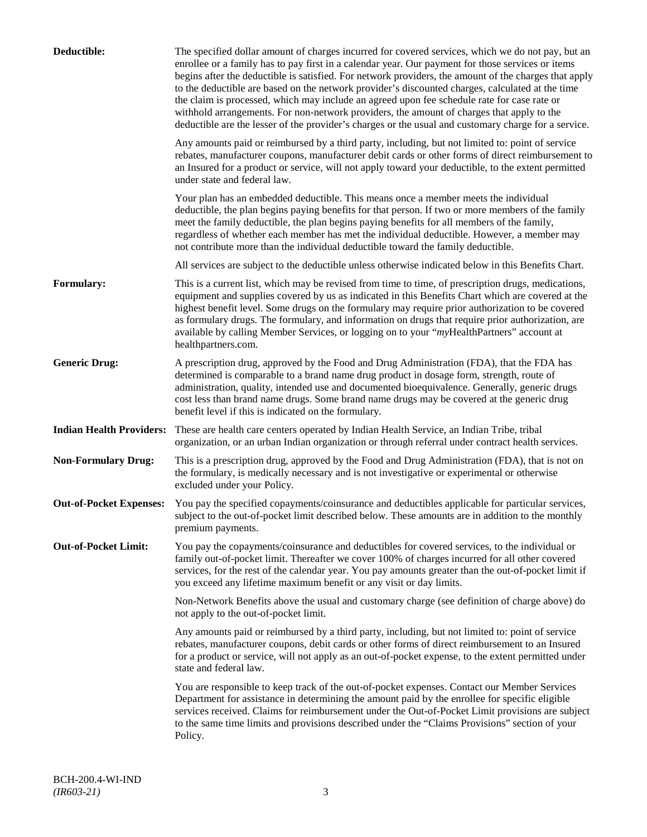| Deductible:                     | The specified dollar amount of charges incurred for covered services, which we do not pay, but an<br>enrollee or a family has to pay first in a calendar year. Our payment for those services or items<br>begins after the deductible is satisfied. For network providers, the amount of the charges that apply<br>to the deductible are based on the network provider's discounted charges, calculated at the time<br>the claim is processed, which may include an agreed upon fee schedule rate for case rate or<br>withhold arrangements. For non-network providers, the amount of charges that apply to the<br>deductible are the lesser of the provider's charges or the usual and customary charge for a service. |
|---------------------------------|-------------------------------------------------------------------------------------------------------------------------------------------------------------------------------------------------------------------------------------------------------------------------------------------------------------------------------------------------------------------------------------------------------------------------------------------------------------------------------------------------------------------------------------------------------------------------------------------------------------------------------------------------------------------------------------------------------------------------|
|                                 | Any amounts paid or reimbursed by a third party, including, but not limited to: point of service<br>rebates, manufacturer coupons, manufacturer debit cards or other forms of direct reimbursement to<br>an Insured for a product or service, will not apply toward your deductible, to the extent permitted<br>under state and federal law.                                                                                                                                                                                                                                                                                                                                                                            |
|                                 | Your plan has an embedded deductible. This means once a member meets the individual<br>deductible, the plan begins paying benefits for that person. If two or more members of the family<br>meet the family deductible, the plan begins paying benefits for all members of the family,<br>regardless of whether each member has met the individual deductible. However, a member may<br>not contribute more than the individual deductible toward the family deductible.                                                                                                                                                                                                                                                |
|                                 | All services are subject to the deductible unless otherwise indicated below in this Benefits Chart.                                                                                                                                                                                                                                                                                                                                                                                                                                                                                                                                                                                                                     |
| <b>Formulary:</b>               | This is a current list, which may be revised from time to time, of prescription drugs, medications,<br>equipment and supplies covered by us as indicated in this Benefits Chart which are covered at the<br>highest benefit level. Some drugs on the formulary may require prior authorization to be covered<br>as formulary drugs. The formulary, and information on drugs that require prior authorization, are<br>available by calling Member Services, or logging on to your "myHealthPartners" account at<br>healthpartners.com.                                                                                                                                                                                   |
| <b>Generic Drug:</b>            | A prescription drug, approved by the Food and Drug Administration (FDA), that the FDA has<br>determined is comparable to a brand name drug product in dosage form, strength, route of<br>administration, quality, intended use and documented bioequivalence. Generally, generic drugs<br>cost less than brand name drugs. Some brand name drugs may be covered at the generic drug<br>benefit level if this is indicated on the formulary.                                                                                                                                                                                                                                                                             |
| <b>Indian Health Providers:</b> | These are health care centers operated by Indian Health Service, an Indian Tribe, tribal<br>organization, or an urban Indian organization or through referral under contract health services.                                                                                                                                                                                                                                                                                                                                                                                                                                                                                                                           |
| <b>Non-Formulary Drug:</b>      | This is a prescription drug, approved by the Food and Drug Administration (FDA), that is not on<br>the formulary, is medically necessary and is not investigative or experimental or otherwise<br>excluded under your Policy.                                                                                                                                                                                                                                                                                                                                                                                                                                                                                           |
| <b>Out-of-Pocket Expenses:</b>  | You pay the specified copayments/coinsurance and deductibles applicable for particular services,<br>subject to the out-of-pocket limit described below. These amounts are in addition to the monthly<br>premium payments.                                                                                                                                                                                                                                                                                                                                                                                                                                                                                               |
| <b>Out-of-Pocket Limit:</b>     | You pay the copayments/coinsurance and deductibles for covered services, to the individual or<br>family out-of-pocket limit. Thereafter we cover 100% of charges incurred for all other covered<br>services, for the rest of the calendar year. You pay amounts greater than the out-of-pocket limit if<br>you exceed any lifetime maximum benefit or any visit or day limits.                                                                                                                                                                                                                                                                                                                                          |
|                                 | Non-Network Benefits above the usual and customary charge (see definition of charge above) do<br>not apply to the out-of-pocket limit.                                                                                                                                                                                                                                                                                                                                                                                                                                                                                                                                                                                  |
|                                 | Any amounts paid or reimbursed by a third party, including, but not limited to: point of service<br>rebates, manufacturer coupons, debit cards or other forms of direct reimbursement to an Insured<br>for a product or service, will not apply as an out-of-pocket expense, to the extent permitted under<br>state and federal law.                                                                                                                                                                                                                                                                                                                                                                                    |
|                                 | You are responsible to keep track of the out-of-pocket expenses. Contact our Member Services<br>Department for assistance in determining the amount paid by the enrollee for specific eligible<br>services received. Claims for reimbursement under the Out-of-Pocket Limit provisions are subject<br>to the same time limits and provisions described under the "Claims Provisions" section of your<br>Policy.                                                                                                                                                                                                                                                                                                         |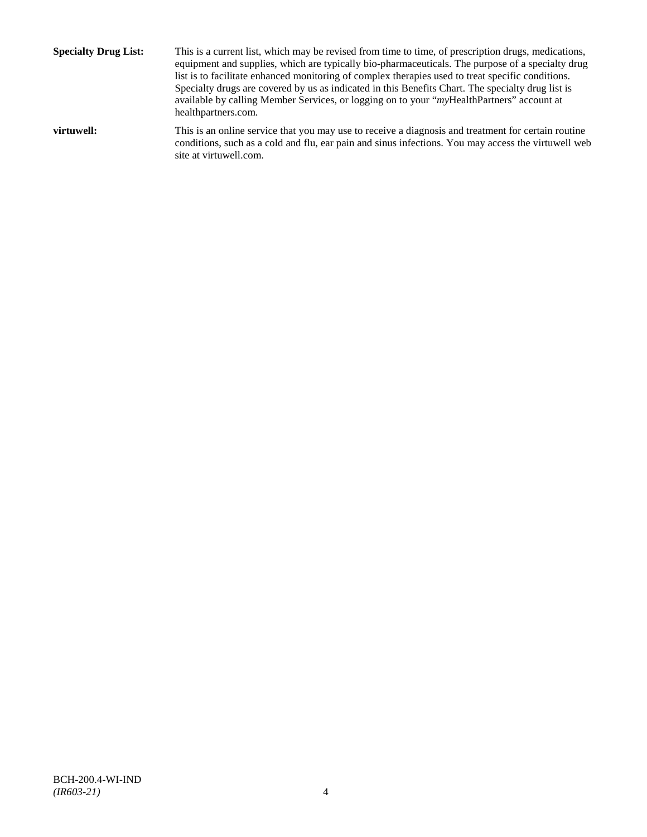**Specialty Drug List:** This is a current list, which may be revised from time to time, of prescription drugs, medications, equipment and supplies, which are typically bio-pharmaceuticals. The purpose of a specialty drug list is to facilitate enhanced monitoring of complex therapies used to treat specific conditions. Specialty drugs are covered by us as indicated in this Benefits Chart. The specialty drug list is available by calling Member Services, or logging on to your "*my*HealthPartners" account at [healthpartners.com.](http://www.healthpartners.com/) **virtuwell:** This is an online service that you may use to receive a diagnosis and treatment for certain routine conditions, such as a cold and flu, ear pain and sinus infections. You may access the virtuwell web

site a[t virtuwell.com.](http://www.virtuwell.com/)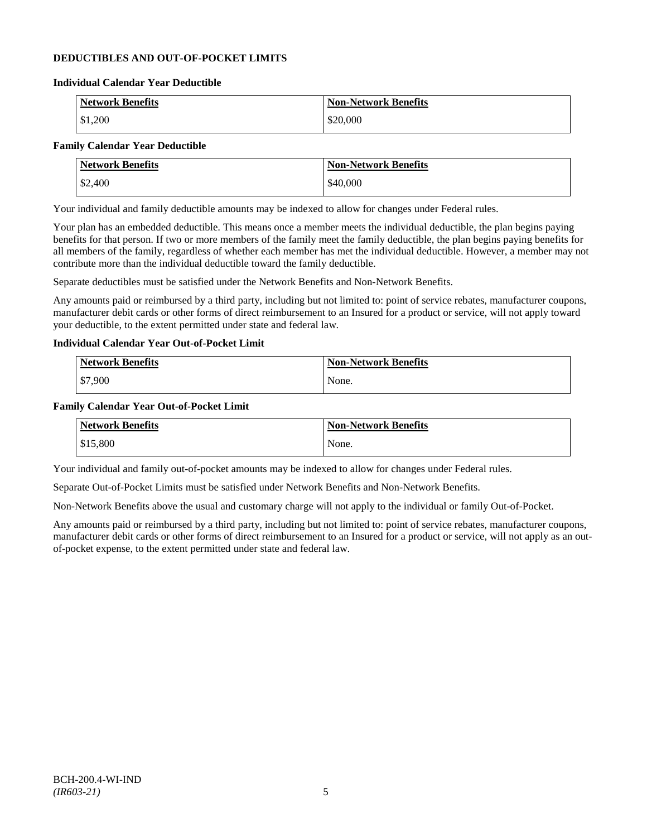# **DEDUCTIBLES AND OUT-OF-POCKET LIMITS**

#### **Individual Calendar Year Deductible**

| <b>Network Benefits</b> | <b>Non-Network Benefits</b> |
|-------------------------|-----------------------------|
| \$1,200                 | \$20,000                    |

# **Family Calendar Year Deductible**

| <b>Network Benefits</b> | <b>Non-Network Benefits</b> |
|-------------------------|-----------------------------|
| \$2,400                 | \$40,000                    |

Your individual and family deductible amounts may be indexed to allow for changes under Federal rules.

Your plan has an embedded deductible. This means once a member meets the individual deductible, the plan begins paying benefits for that person. If two or more members of the family meet the family deductible, the plan begins paying benefits for all members of the family, regardless of whether each member has met the individual deductible. However, a member may not contribute more than the individual deductible toward the family deductible.

Separate deductibles must be satisfied under the Network Benefits and Non-Network Benefits.

Any amounts paid or reimbursed by a third party, including but not limited to: point of service rebates, manufacturer coupons, manufacturer debit cards or other forms of direct reimbursement to an Insured for a product or service, will not apply toward your deductible, to the extent permitted under state and federal law.

# **Individual Calendar Year Out-of-Pocket Limit**

| Network Benefits | <b>Non-Network Benefits</b> |
|------------------|-----------------------------|
| \$7,900          | None.                       |

### **Family Calendar Year Out-of-Pocket Limit**

| <b>Network Benefits</b> | <b>Non-Network Benefits</b> |
|-------------------------|-----------------------------|
| \$15,800                | None.                       |

Your individual and family out-of-pocket amounts may be indexed to allow for changes under Federal rules.

Separate Out-of-Pocket Limits must be satisfied under Network Benefits and Non-Network Benefits.

Non-Network Benefits above the usual and customary charge will not apply to the individual or family Out-of-Pocket.

Any amounts paid or reimbursed by a third party, including but not limited to: point of service rebates, manufacturer coupons, manufacturer debit cards or other forms of direct reimbursement to an Insured for a product or service, will not apply as an outof-pocket expense, to the extent permitted under state and federal law.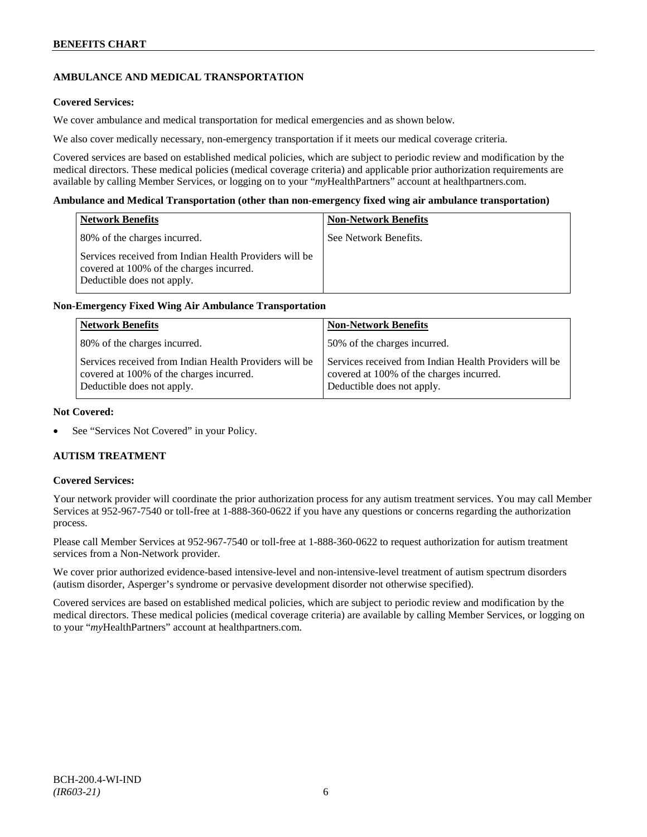# **AMBULANCE AND MEDICAL TRANSPORTATION**

# **Covered Services:**

We cover ambulance and medical transportation for medical emergencies and as shown below.

We also cover medically necessary, non-emergency transportation if it meets our medical coverage criteria.

Covered services are based on established medical policies, which are subject to periodic review and modification by the medical directors. These medical policies (medical coverage criteria) and applicable prior authorization requirements are available by calling Member Services, or logging on to your "*my*HealthPartners" account a[t healthpartners.com.](http://www.healthpartners.com/)

### **Ambulance and Medical Transportation (other than non-emergency fixed wing air ambulance transportation)**

| <b>Network Benefits</b>                                                                                                          | <b>Non-Network Benefits</b> |
|----------------------------------------------------------------------------------------------------------------------------------|-----------------------------|
| 80% of the charges incurred.                                                                                                     | See Network Benefits.       |
| Services received from Indian Health Providers will be<br>covered at 100% of the charges incurred.<br>Deductible does not apply. |                             |

# **Non-Emergency Fixed Wing Air Ambulance Transportation**

| <b>Network Benefits</b>                                                                                                          | <b>Non-Network Benefits</b>                                                                                                      |
|----------------------------------------------------------------------------------------------------------------------------------|----------------------------------------------------------------------------------------------------------------------------------|
| 80% of the charges incurred.                                                                                                     | 50% of the charges incurred.                                                                                                     |
| Services received from Indian Health Providers will be<br>covered at 100% of the charges incurred.<br>Deductible does not apply. | Services received from Indian Health Providers will be<br>covered at 100% of the charges incurred.<br>Deductible does not apply. |

### **Not Covered:**

See "Services Not Covered" in your Policy.

# **AUTISM TREATMENT**

#### **Covered Services:**

Your network provider will coordinate the prior authorization process for any autism treatment services. You may call Member Services at 952-967-7540 or toll-free at 1-888-360-0622 if you have any questions or concerns regarding the authorization process.

Please call Member Services at 952-967-7540 or toll-free at 1-888-360-0622 to request authorization for autism treatment services from a Non-Network provider.

We cover prior authorized evidence-based intensive-level and non-intensive-level treatment of autism spectrum disorders (autism disorder, Asperger's syndrome or pervasive development disorder not otherwise specified).

Covered services are based on established medical policies, which are subject to periodic review and modification by the medical directors. These medical policies (medical coverage criteria) are available by calling Member Services, or logging on to your "*my*HealthPartners" account at [healthpartners.com.](http://www.healthpartners.com/)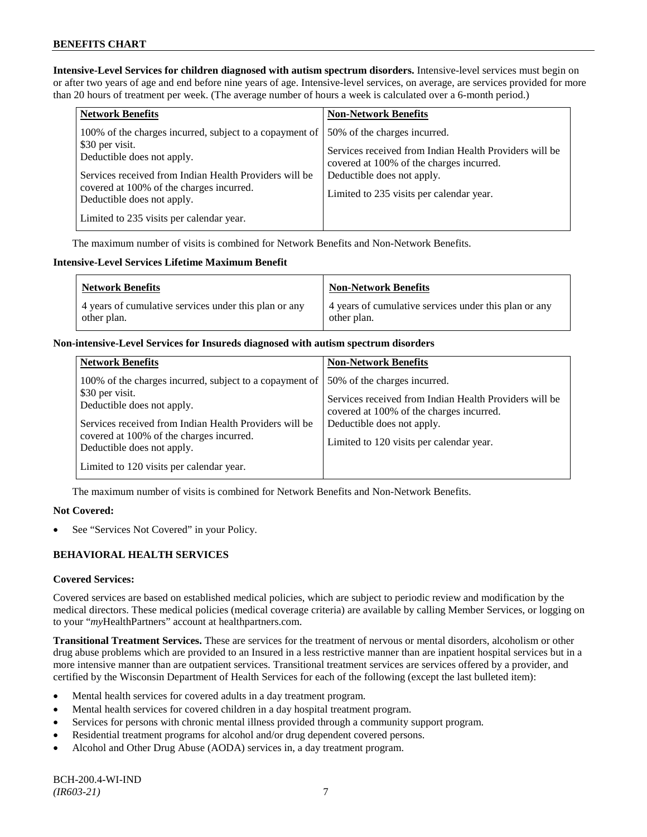**Intensive-Level Services for children diagnosed with autism spectrum disorders.** Intensive-level services must begin on or after two years of age and end before nine years of age. Intensive-level services, on average, are services provided for more than 20 hours of treatment per week. (The average number of hours a week is calculated over a 6-month period.)

| <b>Network Benefits</b>                                                                                                                                                                                                                                                                  | <b>Non-Network Benefits</b>                                                                                                                                                                                  |
|------------------------------------------------------------------------------------------------------------------------------------------------------------------------------------------------------------------------------------------------------------------------------------------|--------------------------------------------------------------------------------------------------------------------------------------------------------------------------------------------------------------|
| 100% of the charges incurred, subject to a copayment of<br>\$30 per visit.<br>Deductible does not apply.<br>Services received from Indian Health Providers will be<br>covered at 100% of the charges incurred.<br>Deductible does not apply.<br>Limited to 235 visits per calendar year. | 50% of the charges incurred.<br>Services received from Indian Health Providers will be<br>covered at 100% of the charges incurred.<br>Deductible does not apply.<br>Limited to 235 visits per calendar year. |

The maximum number of visits is combined for Network Benefits and Non-Network Benefits.

# **Intensive-Level Services Lifetime Maximum Benefit**

| <b>Network Benefits</b>                               | <b>Non-Network Benefits</b>                           |
|-------------------------------------------------------|-------------------------------------------------------|
| 4 years of cumulative services under this plan or any | 4 years of cumulative services under this plan or any |
| other plan.                                           | other plan.                                           |

### **Non-intensive-Level Services for Insureds diagnosed with autism spectrum disorders**

| <b>Network Benefits</b>                                                                                                                                                                                                                                                                  | <b>Non-Network Benefits</b>                                                                                                                                                                                  |
|------------------------------------------------------------------------------------------------------------------------------------------------------------------------------------------------------------------------------------------------------------------------------------------|--------------------------------------------------------------------------------------------------------------------------------------------------------------------------------------------------------------|
| 100% of the charges incurred, subject to a copayment of<br>\$30 per visit.<br>Deductible does not apply.<br>Services received from Indian Health Providers will be<br>covered at 100% of the charges incurred.<br>Deductible does not apply.<br>Limited to 120 visits per calendar year. | 50% of the charges incurred.<br>Services received from Indian Health Providers will be<br>covered at 100% of the charges incurred.<br>Deductible does not apply.<br>Limited to 120 visits per calendar year. |

The maximum number of visits is combined for Network Benefits and Non-Network Benefits.

# **Not Covered:**

See "Services Not Covered" in your Policy.

# **BEHAVIORAL HEALTH SERVICES**

# **Covered Services:**

Covered services are based on established medical policies, which are subject to periodic review and modification by the medical directors. These medical policies (medical coverage criteria) are available by calling Member Services, or logging on to your "*my*HealthPartners" account at [healthpartners.com.](http://www.healthpartners.com/)

**Transitional Treatment Services.** These are services for the treatment of nervous or mental disorders, alcoholism or other drug abuse problems which are provided to an Insured in a less restrictive manner than are inpatient hospital services but in a more intensive manner than are outpatient services. Transitional treatment services are services offered by a provider, and certified by the Wisconsin Department of Health Services for each of the following (except the last bulleted item):

- Mental health services for covered adults in a day treatment program.
- Mental health services for covered children in a day hospital treatment program.
- Services for persons with chronic mental illness provided through a community support program.
- Residential treatment programs for alcohol and/or drug dependent covered persons.
- Alcohol and Other Drug Abuse (AODA) services in, a day treatment program.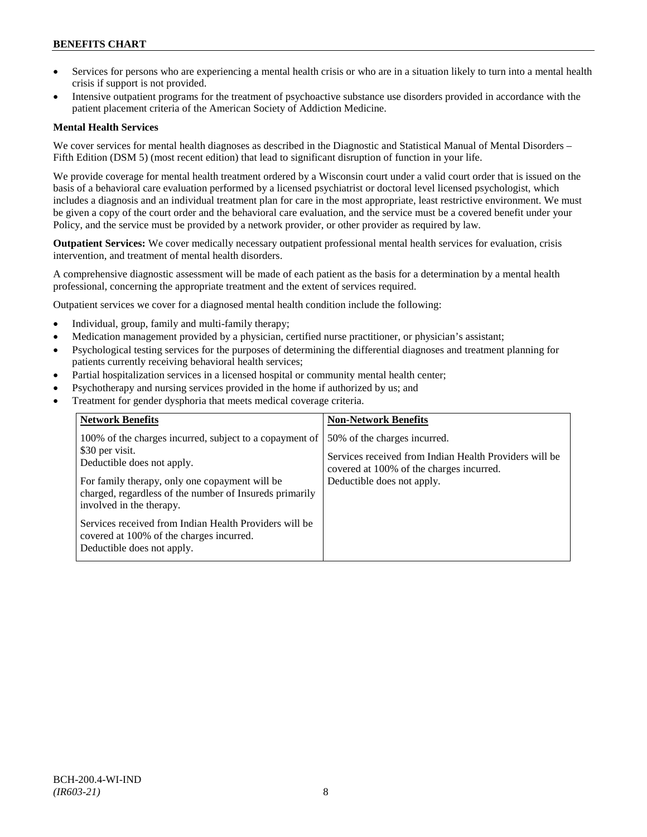# **BENEFITS CHART**

- Services for persons who are experiencing a mental health crisis or who are in a situation likely to turn into a mental health crisis if support is not provided.
- Intensive outpatient programs for the treatment of psychoactive substance use disorders provided in accordance with the patient placement criteria of the American Society of Addiction Medicine.

# **Mental Health Services**

We cover services for mental health diagnoses as described in the Diagnostic and Statistical Manual of Mental Disorders – Fifth Edition (DSM 5) (most recent edition) that lead to significant disruption of function in your life.

We provide coverage for mental health treatment ordered by a Wisconsin court under a valid court order that is issued on the basis of a behavioral care evaluation performed by a licensed psychiatrist or doctoral level licensed psychologist, which includes a diagnosis and an individual treatment plan for care in the most appropriate, least restrictive environment. We must be given a copy of the court order and the behavioral care evaluation, and the service must be a covered benefit under your Policy, and the service must be provided by a network provider, or other provider as required by law.

**Outpatient Services:** We cover medically necessary outpatient professional mental health services for evaluation, crisis intervention, and treatment of mental health disorders.

A comprehensive diagnostic assessment will be made of each patient as the basis for a determination by a mental health professional, concerning the appropriate treatment and the extent of services required.

Outpatient services we cover for a diagnosed mental health condition include the following:

- Individual, group, family and multi-family therapy;
- Medication management provided by a physician, certified nurse practitioner, or physician's assistant;
- Psychological testing services for the purposes of determining the differential diagnoses and treatment planning for patients currently receiving behavioral health services;
- Partial hospitalization services in a licensed hospital or community mental health center;
- Psychotherapy and nursing services provided in the home if authorized by us; and
- Treatment for gender dysphoria that meets medical coverage criteria.

| <b>Network Benefits</b>                                                                                                                                                                                                                                                                                                                                                               | <b>Non-Network Benefits</b>                                                                                                                                      |
|---------------------------------------------------------------------------------------------------------------------------------------------------------------------------------------------------------------------------------------------------------------------------------------------------------------------------------------------------------------------------------------|------------------------------------------------------------------------------------------------------------------------------------------------------------------|
| 100% of the charges incurred, subject to a copayment of<br>\$30 per visit.<br>Deductible does not apply.<br>For family therapy, only one copayment will be<br>charged, regardless of the number of Insureds primarily<br>involved in the therapy.<br>Services received from Indian Health Providers will be<br>covered at 100% of the charges incurred.<br>Deductible does not apply. | 50% of the charges incurred.<br>Services received from Indian Health Providers will be<br>covered at 100% of the charges incurred.<br>Deductible does not apply. |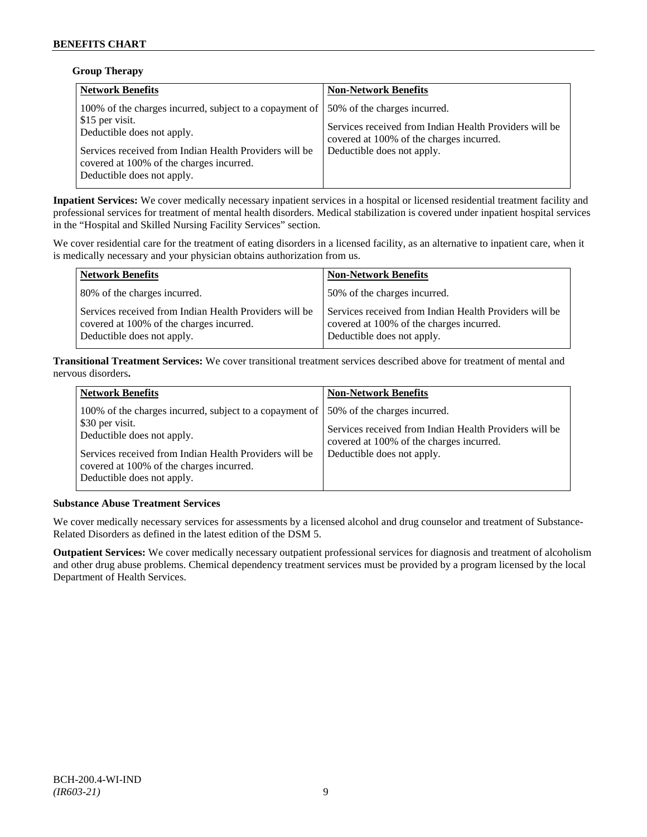# **Group Therapy**

| <b>Network Benefits</b>                                                                                                                                                                                                                                                    | <b>Non-Network Benefits</b>                                                                                                      |
|----------------------------------------------------------------------------------------------------------------------------------------------------------------------------------------------------------------------------------------------------------------------------|----------------------------------------------------------------------------------------------------------------------------------|
| 100% of the charges incurred, subject to a copayment of  50% of the charges incurred.<br>\$15 per visit.<br>Deductible does not apply.<br>Services received from Indian Health Providers will be<br>covered at 100% of the charges incurred.<br>Deductible does not apply. | Services received from Indian Health Providers will be<br>covered at 100% of the charges incurred.<br>Deductible does not apply. |

**Inpatient Services:** We cover medically necessary inpatient services in a hospital or licensed residential treatment facility and professional services for treatment of mental health disorders. Medical stabilization is covered under inpatient hospital services in the "Hospital and Skilled Nursing Facility Services" section.

We cover residential care for the treatment of eating disorders in a licensed facility, as an alternative to inpatient care, when it is medically necessary and your physician obtains authorization from us.

| <b>Network Benefits</b>                                                                                                          | <b>Non-Network Benefits</b>                                                                                                      |
|----------------------------------------------------------------------------------------------------------------------------------|----------------------------------------------------------------------------------------------------------------------------------|
| 80% of the charges incurred.                                                                                                     | 50% of the charges incurred.                                                                                                     |
| Services received from Indian Health Providers will be<br>covered at 100% of the charges incurred.<br>Deductible does not apply. | Services received from Indian Health Providers will be<br>covered at 100% of the charges incurred.<br>Deductible does not apply. |

**Transitional Treatment Services:** We cover transitional treatment services described above for treatment of mental and nervous disorders**.**

| <b>Network Benefits</b>                                                                                                                                            | <b>Non-Network Benefits</b>                                                                                                                                      |
|--------------------------------------------------------------------------------------------------------------------------------------------------------------------|------------------------------------------------------------------------------------------------------------------------------------------------------------------|
| 100% of the charges incurred, subject to a copayment of<br>\$30 per visit.<br>Deductible does not apply.<br>Services received from Indian Health Providers will be | 50% of the charges incurred.<br>Services received from Indian Health Providers will be<br>covered at 100% of the charges incurred.<br>Deductible does not apply. |
| covered at 100% of the charges incurred.<br>Deductible does not apply.                                                                                             |                                                                                                                                                                  |

# **Substance Abuse Treatment Services**

We cover medically necessary services for assessments by a licensed alcohol and drug counselor and treatment of Substance-Related Disorders as defined in the latest edition of the DSM 5.

**Outpatient Services:** We cover medically necessary outpatient professional services for diagnosis and treatment of alcoholism and other drug abuse problems. Chemical dependency treatment services must be provided by a program licensed by the local Department of Health Services.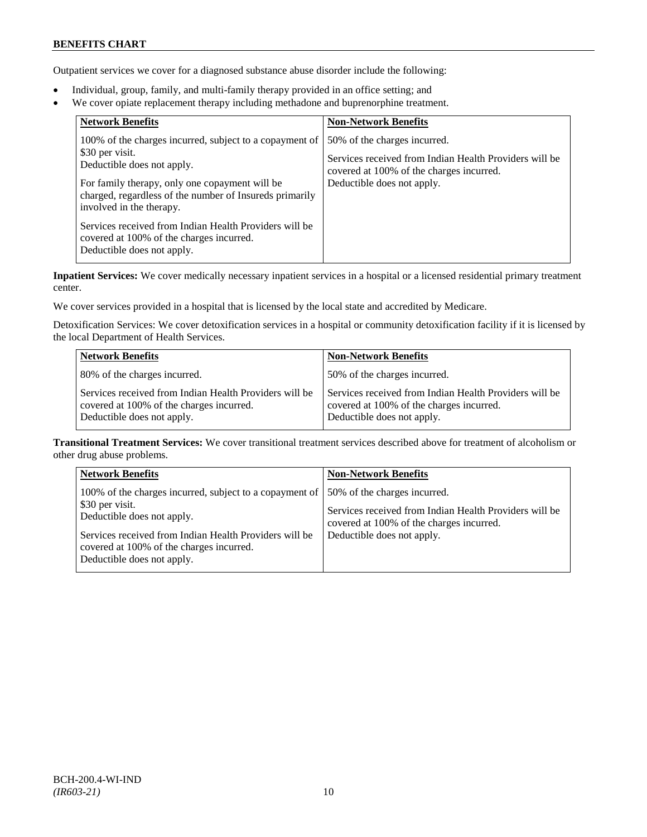# **BENEFITS CHART**

Outpatient services we cover for a diagnosed substance abuse disorder include the following:

- Individual, group, family, and multi-family therapy provided in an office setting; and
- We cover opiate replacement therapy including methadone and buprenorphine treatment.

| 50% of the charges incurred.<br>Services received from Indian Health Providers will be<br>covered at 100% of the charges incurred.<br>Deductible does not apply. |
|------------------------------------------------------------------------------------------------------------------------------------------------------------------|
|                                                                                                                                                                  |

**Inpatient Services:** We cover medically necessary inpatient services in a hospital or a licensed residential primary treatment center.

We cover services provided in a hospital that is licensed by the local state and accredited by Medicare.

Detoxification Services: We cover detoxification services in a hospital or community detoxification facility if it is licensed by the local Department of Health Services.

| <b>Network Benefits</b>                                                                                                          | <b>Non-Network Benefits</b>                                                                                                      |
|----------------------------------------------------------------------------------------------------------------------------------|----------------------------------------------------------------------------------------------------------------------------------|
| 80% of the charges incurred.                                                                                                     | 50% of the charges incurred.                                                                                                     |
| Services received from Indian Health Providers will be<br>covered at 100% of the charges incurred.<br>Deductible does not apply. | Services received from Indian Health Providers will be<br>covered at 100% of the charges incurred.<br>Deductible does not apply. |

**Transitional Treatment Services:** We cover transitional treatment services described above for treatment of alcoholism or other drug abuse problems.

| <b>Network Benefits</b>                                                                                                                                                                                                                      | <b>Non-Network Benefits</b>                                                                                                                                      |
|----------------------------------------------------------------------------------------------------------------------------------------------------------------------------------------------------------------------------------------------|------------------------------------------------------------------------------------------------------------------------------------------------------------------|
| 100% of the charges incurred, subject to a copayment of<br>\$30 per visit.<br>Deductible does not apply.<br>Services received from Indian Health Providers will be<br>covered at 100% of the charges incurred.<br>Deductible does not apply. | 50% of the charges incurred.<br>Services received from Indian Health Providers will be<br>covered at 100% of the charges incurred.<br>Deductible does not apply. |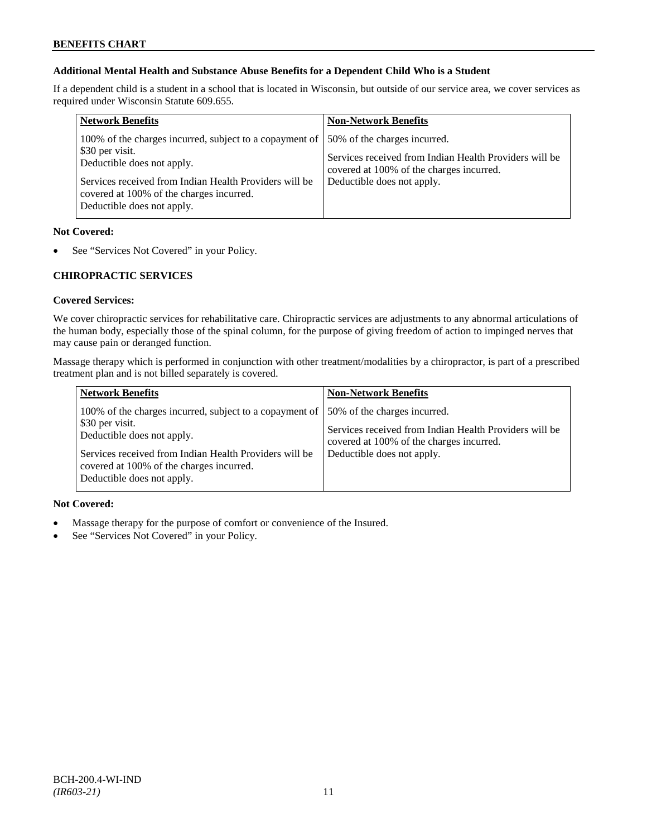# **Additional Mental Health and Substance Abuse Benefits for a Dependent Child Who is a Student**

If a dependent child is a student in a school that is located in Wisconsin, but outside of our service area, we cover services as required under Wisconsin Statute 609.655.

| <b>Network Benefits</b>                                                                                                                                                                                                                      | <b>Non-Network Benefits</b>                                                                                                                                      |
|----------------------------------------------------------------------------------------------------------------------------------------------------------------------------------------------------------------------------------------------|------------------------------------------------------------------------------------------------------------------------------------------------------------------|
| 100% of the charges incurred, subject to a copayment of<br>\$30 per visit.<br>Deductible does not apply.<br>Services received from Indian Health Providers will be<br>covered at 100% of the charges incurred.<br>Deductible does not apply. | 50% of the charges incurred.<br>Services received from Indian Health Providers will be<br>covered at 100% of the charges incurred.<br>Deductible does not apply. |

### **Not Covered:**

See "Services Not Covered" in your Policy.

# **CHIROPRACTIC SERVICES**

# **Covered Services:**

We cover chiropractic services for rehabilitative care. Chiropractic services are adjustments to any abnormal articulations of the human body, especially those of the spinal column, for the purpose of giving freedom of action to impinged nerves that may cause pain or deranged function.

Massage therapy which is performed in conjunction with other treatment/modalities by a chiropractor, is part of a prescribed treatment plan and is not billed separately is covered.

| <b>Network Benefits</b>                                                                                                                                                                                                                      | <b>Non-Network Benefits</b>                                                                                                                                      |
|----------------------------------------------------------------------------------------------------------------------------------------------------------------------------------------------------------------------------------------------|------------------------------------------------------------------------------------------------------------------------------------------------------------------|
| 100% of the charges incurred, subject to a copayment of<br>\$30 per visit.<br>Deductible does not apply.<br>Services received from Indian Health Providers will be<br>covered at 100% of the charges incurred.<br>Deductible does not apply. | 50% of the charges incurred.<br>Services received from Indian Health Providers will be<br>covered at 100% of the charges incurred.<br>Deductible does not apply. |

# **Not Covered:**

- Massage therapy for the purpose of comfort or convenience of the Insured.
- See "Services Not Covered" in your Policy.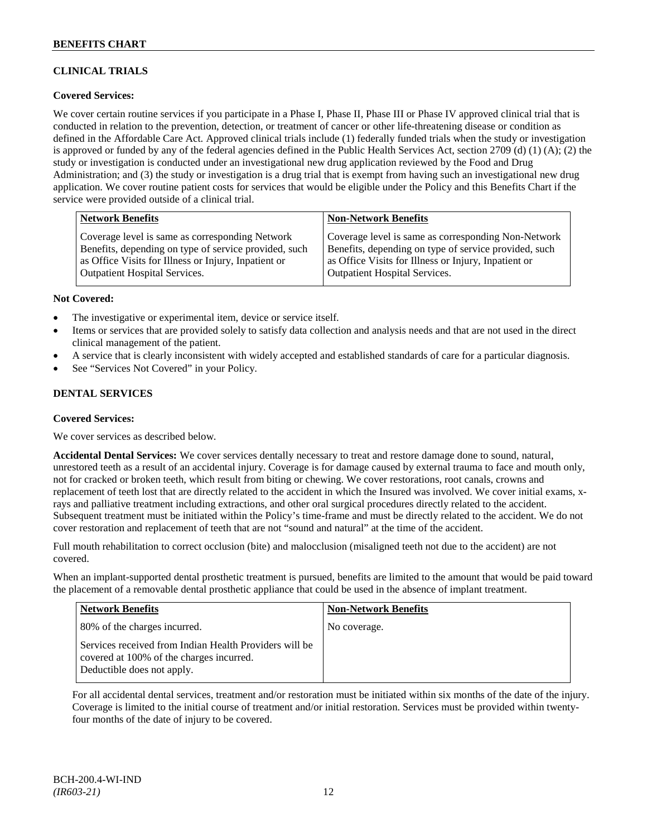# **CLINICAL TRIALS**

# **Covered Services:**

We cover certain routine services if you participate in a Phase I, Phase II, Phase III or Phase IV approved clinical trial that is conducted in relation to the prevention, detection, or treatment of cancer or other life-threatening disease or condition as defined in the Affordable Care Act. Approved clinical trials include (1) federally funded trials when the study or investigation is approved or funded by any of the federal agencies defined in the Public Health Services Act, section 2709 (d) (1) (A); (2) the study or investigation is conducted under an investigational new drug application reviewed by the Food and Drug Administration; and (3) the study or investigation is a drug trial that is exempt from having such an investigational new drug application. We cover routine patient costs for services that would be eligible under the Policy and this Benefits Chart if the service were provided outside of a clinical trial.

| <b>Network Benefits</b>                               | <b>Non-Network Benefits</b>                           |
|-------------------------------------------------------|-------------------------------------------------------|
| Coverage level is same as corresponding Network       | Coverage level is same as corresponding Non-Network   |
| Benefits, depending on type of service provided, such | Benefits, depending on type of service provided, such |
| as Office Visits for Illness or Injury, Inpatient or  | as Office Visits for Illness or Injury, Inpatient or  |
| Outpatient Hospital Services.                         | <b>Outpatient Hospital Services.</b>                  |

### **Not Covered:**

- The investigative or experimental item, device or service itself.
- Items or services that are provided solely to satisfy data collection and analysis needs and that are not used in the direct clinical management of the patient.
- A service that is clearly inconsistent with widely accepted and established standards of care for a particular diagnosis.
- See "Services Not Covered" in your Policy.

# **DENTAL SERVICES**

#### **Covered Services:**

We cover services as described below.

**Accidental Dental Services:** We cover services dentally necessary to treat and restore damage done to sound, natural, unrestored teeth as a result of an accidental injury. Coverage is for damage caused by external trauma to face and mouth only, not for cracked or broken teeth, which result from biting or chewing. We cover restorations, root canals, crowns and replacement of teeth lost that are directly related to the accident in which the Insured was involved. We cover initial exams, xrays and palliative treatment including extractions, and other oral surgical procedures directly related to the accident. Subsequent treatment must be initiated within the Policy's time-frame and must be directly related to the accident. We do not cover restoration and replacement of teeth that are not "sound and natural" at the time of the accident.

Full mouth rehabilitation to correct occlusion (bite) and malocclusion (misaligned teeth not due to the accident) are not covered.

When an implant-supported dental prosthetic treatment is pursued, benefits are limited to the amount that would be paid toward the placement of a removable dental prosthetic appliance that could be used in the absence of implant treatment.

| <b>Network Benefits</b>                                                                                                          | <b>Non-Network Benefits</b> |
|----------------------------------------------------------------------------------------------------------------------------------|-----------------------------|
| 80% of the charges incurred.                                                                                                     | No coverage.                |
| Services received from Indian Health Providers will be<br>covered at 100% of the charges incurred.<br>Deductible does not apply. |                             |

For all accidental dental services, treatment and/or restoration must be initiated within six months of the date of the injury. Coverage is limited to the initial course of treatment and/or initial restoration. Services must be provided within twentyfour months of the date of injury to be covered.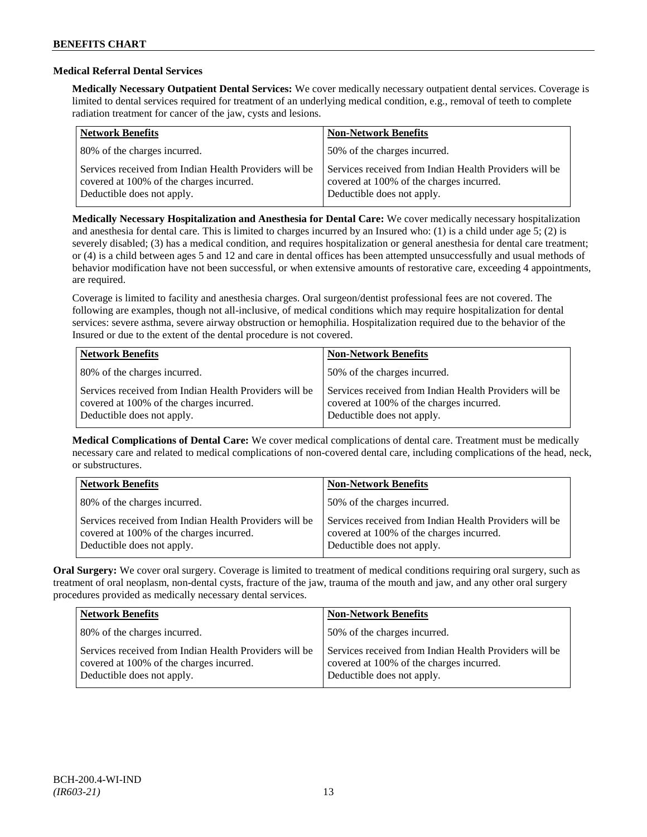# **Medical Referral Dental Services**

**Medically Necessary Outpatient Dental Services:** We cover medically necessary outpatient dental services. Coverage is limited to dental services required for treatment of an underlying medical condition, e.g., removal of teeth to complete radiation treatment for cancer of the jaw, cysts and lesions.

| <b>Network Benefits</b>                                                                                                          | <b>Non-Network Benefits</b>                                                                                                      |
|----------------------------------------------------------------------------------------------------------------------------------|----------------------------------------------------------------------------------------------------------------------------------|
| 80% of the charges incurred.                                                                                                     | 50% of the charges incurred.                                                                                                     |
| Services received from Indian Health Providers will be<br>covered at 100% of the charges incurred.<br>Deductible does not apply. | Services received from Indian Health Providers will be<br>covered at 100% of the charges incurred.<br>Deductible does not apply. |

**Medically Necessary Hospitalization and Anesthesia for Dental Care:** We cover medically necessary hospitalization and anesthesia for dental care. This is limited to charges incurred by an Insured who: (1) is a child under age 5; (2) is severely disabled; (3) has a medical condition, and requires hospitalization or general anesthesia for dental care treatment; or (4) is a child between ages 5 and 12 and care in dental offices has been attempted unsuccessfully and usual methods of behavior modification have not been successful, or when extensive amounts of restorative care, exceeding 4 appointments, are required.

Coverage is limited to facility and anesthesia charges. Oral surgeon/dentist professional fees are not covered. The following are examples, though not all-inclusive, of medical conditions which may require hospitalization for dental services: severe asthma, severe airway obstruction or hemophilia. Hospitalization required due to the behavior of the Insured or due to the extent of the dental procedure is not covered.

| <b>Network Benefits</b>                                                                                                          | <b>Non-Network Benefits</b>                                                                                                      |
|----------------------------------------------------------------------------------------------------------------------------------|----------------------------------------------------------------------------------------------------------------------------------|
| 80% of the charges incurred.                                                                                                     | 50% of the charges incurred.                                                                                                     |
| Services received from Indian Health Providers will be<br>covered at 100% of the charges incurred.<br>Deductible does not apply. | Services received from Indian Health Providers will be<br>covered at 100% of the charges incurred.<br>Deductible does not apply. |

**Medical Complications of Dental Care:** We cover medical complications of dental care. Treatment must be medically necessary care and related to medical complications of non-covered dental care, including complications of the head, neck, or substructures.

| <b>Network Benefits</b>                                                                                                          | <b>Non-Network Benefits</b>                                                                                                      |
|----------------------------------------------------------------------------------------------------------------------------------|----------------------------------------------------------------------------------------------------------------------------------|
| 80% of the charges incurred.                                                                                                     | 50% of the charges incurred.                                                                                                     |
| Services received from Indian Health Providers will be<br>covered at 100% of the charges incurred.<br>Deductible does not apply. | Services received from Indian Health Providers will be<br>covered at 100% of the charges incurred.<br>Deductible does not apply. |

**Oral Surgery:** We cover oral surgery. Coverage is limited to treatment of medical conditions requiring oral surgery, such as treatment of oral neoplasm, non-dental cysts, fracture of the jaw, trauma of the mouth and jaw, and any other oral surgery procedures provided as medically necessary dental services.

| <b>Network Benefits</b>                                                                                                          | <b>Non-Network Benefits</b>                                                                                                      |
|----------------------------------------------------------------------------------------------------------------------------------|----------------------------------------------------------------------------------------------------------------------------------|
| 80% of the charges incurred.                                                                                                     | 50% of the charges incurred.                                                                                                     |
| Services received from Indian Health Providers will be<br>covered at 100% of the charges incurred.<br>Deductible does not apply. | Services received from Indian Health Providers will be<br>covered at 100% of the charges incurred.<br>Deductible does not apply. |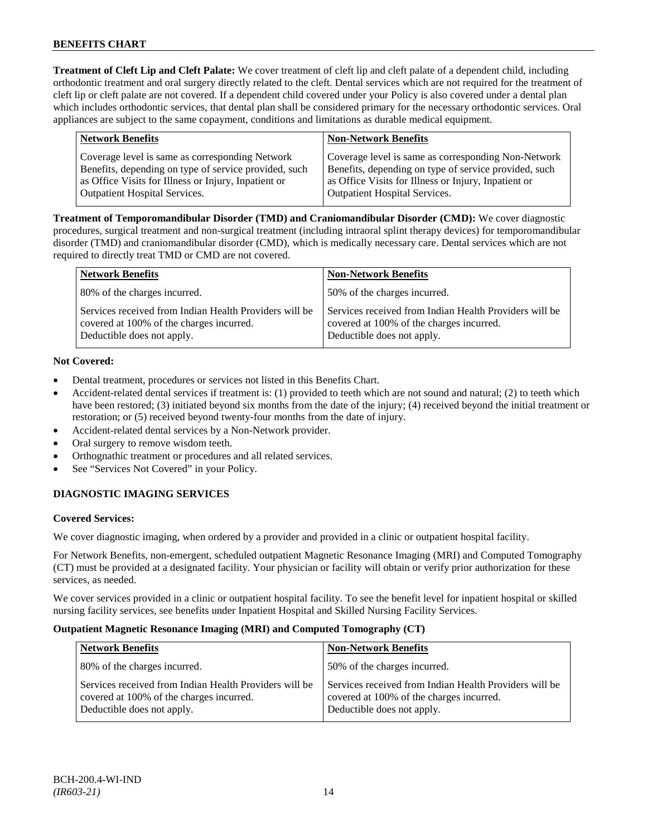**Treatment of Cleft Lip and Cleft Palate:** We cover treatment of cleft lip and cleft palate of a dependent child, including orthodontic treatment and oral surgery directly related to the cleft. Dental services which are not required for the treatment of cleft lip or cleft palate are not covered. If a dependent child covered under your Policy is also covered under a dental plan which includes orthodontic services, that dental plan shall be considered primary for the necessary orthodontic services. Oral appliances are subject to the same copayment, conditions and limitations as durable medical equipment.

| <b>Network Benefits</b>                               | <b>Non-Network Benefits</b>                           |
|-------------------------------------------------------|-------------------------------------------------------|
| Coverage level is same as corresponding Network       | Coverage level is same as corresponding Non-Network   |
| Benefits, depending on type of service provided, such | Benefits, depending on type of service provided, such |
| as Office Visits for Illness or Injury, Inpatient or  | as Office Visits for Illness or Injury, Inpatient or  |
| <b>Outpatient Hospital Services.</b>                  | <b>Outpatient Hospital Services.</b>                  |
|                                                       |                                                       |

**Treatment of Temporomandibular Disorder (TMD) and Craniomandibular Disorder (CMD):** We cover diagnostic procedures, surgical treatment and non-surgical treatment (including intraoral splint therapy devices) for temporomandibular disorder (TMD) and craniomandibular disorder (CMD), which is medically necessary care. Dental services which are not required to directly treat TMD or CMD are not covered.

| <b>Network Benefits</b>                                                                                                          | <b>Non-Network Benefits</b>                                                                                                      |
|----------------------------------------------------------------------------------------------------------------------------------|----------------------------------------------------------------------------------------------------------------------------------|
| 80% of the charges incurred.                                                                                                     | 50% of the charges incurred.                                                                                                     |
| Services received from Indian Health Providers will be<br>covered at 100% of the charges incurred.<br>Deductible does not apply. | Services received from Indian Health Providers will be<br>covered at 100% of the charges incurred.<br>Deductible does not apply. |

# **Not Covered:**

- Dental treatment, procedures or services not listed in this Benefits Chart.
- Accident-related dental services if treatment is: (1) provided to teeth which are not sound and natural; (2) to teeth which have been restored; (3) initiated beyond six months from the date of the injury; (4) received beyond the initial treatment or restoration; or (5) received beyond twenty-four months from the date of injury.
- Accident-related dental services by a Non-Network provider.
- Oral surgery to remove wisdom teeth.
- Orthognathic treatment or procedures and all related services.
- See "Services Not Covered" in your Policy.

# **DIAGNOSTIC IMAGING SERVICES**

# **Covered Services:**

We cover diagnostic imaging, when ordered by a provider and provided in a clinic or outpatient hospital facility.

For Network Benefits, non-emergent, scheduled outpatient Magnetic Resonance Imaging (MRI) and Computed Tomography (CT) must be provided at a designated facility. Your physician or facility will obtain or verify prior authorization for these services, as needed.

We cover services provided in a clinic or outpatient hospital facility. To see the benefit level for inpatient hospital or skilled nursing facility services, see benefits under Inpatient Hospital and Skilled Nursing Facility Services.

# **Outpatient Magnetic Resonance Imaging (MRI) and Computed Tomography (CT)**

| <b>Network Benefits</b>                                                                                                          | <b>Non-Network Benefits</b>                                                                                                      |
|----------------------------------------------------------------------------------------------------------------------------------|----------------------------------------------------------------------------------------------------------------------------------|
| 80% of the charges incurred.                                                                                                     | 50% of the charges incurred.                                                                                                     |
| Services received from Indian Health Providers will be<br>covered at 100% of the charges incurred.<br>Deductible does not apply. | Services received from Indian Health Providers will be<br>covered at 100% of the charges incurred.<br>Deductible does not apply. |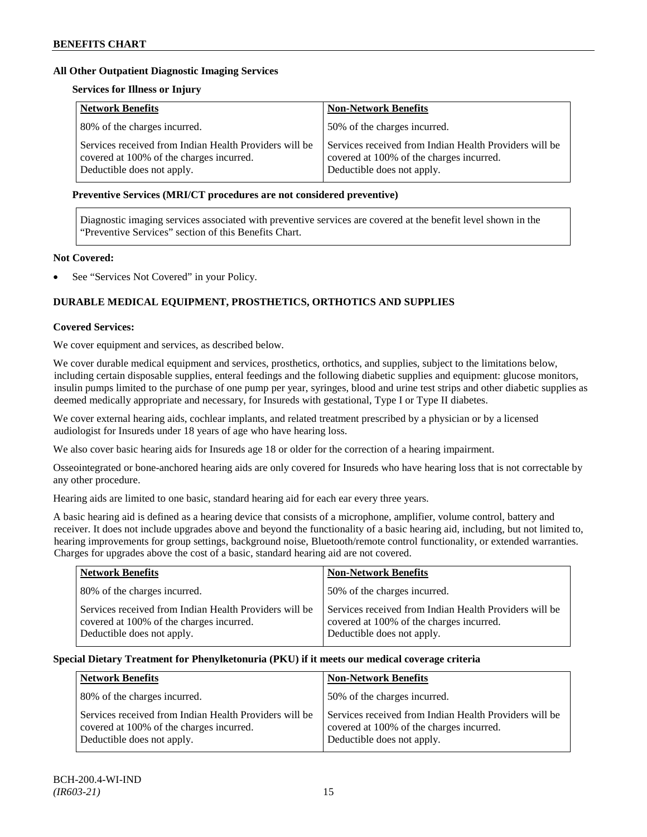# **All Other Outpatient Diagnostic Imaging Services**

# **Services for Illness or Injury**

| <b>Network Benefits</b>                                                                                                          | <b>Non-Network Benefits</b>                                                                                                      |
|----------------------------------------------------------------------------------------------------------------------------------|----------------------------------------------------------------------------------------------------------------------------------|
| 80% of the charges incurred.                                                                                                     | 50% of the charges incurred.                                                                                                     |
| Services received from Indian Health Providers will be<br>covered at 100% of the charges incurred.<br>Deductible does not apply. | Services received from Indian Health Providers will be<br>covered at 100% of the charges incurred.<br>Deductible does not apply. |

### **Preventive Services (MRI/CT procedures are not considered preventive)**

Diagnostic imaging services associated with preventive services are covered at the benefit level shown in the "Preventive Services" section of this Benefits Chart.

# **Not Covered:**

See "Services Not Covered" in your Policy.

# **DURABLE MEDICAL EQUIPMENT, PROSTHETICS, ORTHOTICS AND SUPPLIES**

### **Covered Services:**

We cover equipment and services, as described below.

We cover durable medical equipment and services, prosthetics, orthotics, and supplies, subject to the limitations below, including certain disposable supplies, enteral feedings and the following diabetic supplies and equipment: glucose monitors, insulin pumps limited to the purchase of one pump per year, syringes, blood and urine test strips and other diabetic supplies as deemed medically appropriate and necessary, for Insureds with gestational, Type I or Type II diabetes.

We cover external hearing aids, cochlear implants, and related treatment prescribed by a physician or by a licensed audiologist for Insureds under 18 years of age who have hearing loss.

We also cover basic hearing aids for Insureds age 18 or older for the correction of a hearing impairment.

Osseointegrated or bone-anchored hearing aids are only covered for Insureds who have hearing loss that is not correctable by any other procedure.

Hearing aids are limited to one basic, standard hearing aid for each ear every three years.

A basic hearing aid is defined as a hearing device that consists of a microphone, amplifier, volume control, battery and receiver. It does not include upgrades above and beyond the functionality of a basic hearing aid, including, but not limited to, hearing improvements for group settings, background noise, Bluetooth/remote control functionality, or extended warranties. Charges for upgrades above the cost of a basic, standard hearing aid are not covered.

| <b>Network Benefits</b>                                                                                                          | <b>Non-Network Benefits</b>                                                                                                      |
|----------------------------------------------------------------------------------------------------------------------------------|----------------------------------------------------------------------------------------------------------------------------------|
| 80% of the charges incurred.                                                                                                     | 50% of the charges incurred.                                                                                                     |
| Services received from Indian Health Providers will be<br>covered at 100% of the charges incurred.<br>Deductible does not apply. | Services received from Indian Health Providers will be<br>covered at 100% of the charges incurred.<br>Deductible does not apply. |

# **Special Dietary Treatment for Phenylketonuria (PKU) if it meets our medical coverage criteria**

| <b>Network Benefits</b>                                                                                                          | <b>Non-Network Benefits</b>                                                                                                      |
|----------------------------------------------------------------------------------------------------------------------------------|----------------------------------------------------------------------------------------------------------------------------------|
| 80% of the charges incurred.                                                                                                     | 50% of the charges incurred.                                                                                                     |
| Services received from Indian Health Providers will be<br>covered at 100% of the charges incurred.<br>Deductible does not apply. | Services received from Indian Health Providers will be<br>covered at 100% of the charges incurred.<br>Deductible does not apply. |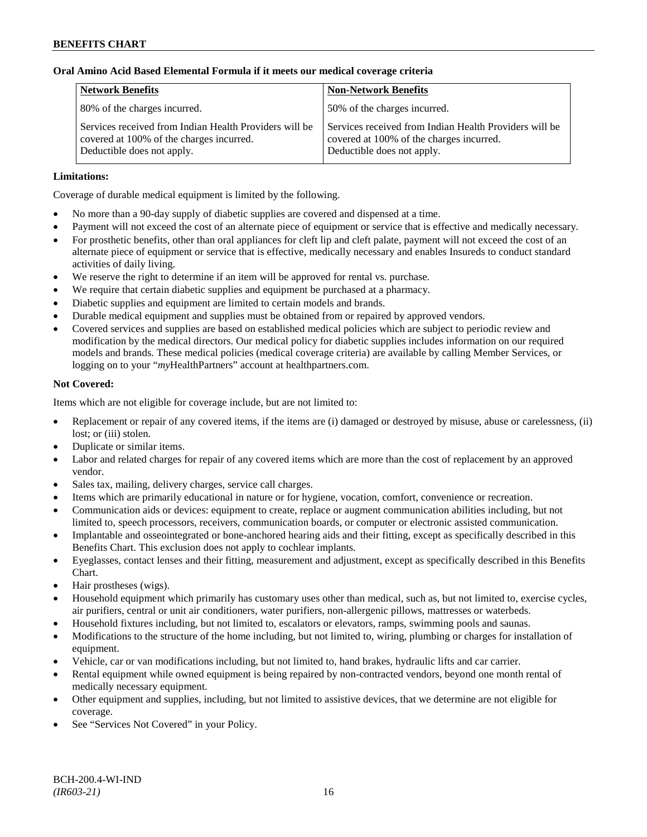# **Oral Amino Acid Based Elemental Formula if it meets our medical coverage criteria**

| <b>Network Benefits</b>                                                                                                          | <b>Non-Network Benefits</b>                                                                                                      |
|----------------------------------------------------------------------------------------------------------------------------------|----------------------------------------------------------------------------------------------------------------------------------|
| 80% of the charges incurred.                                                                                                     | 50% of the charges incurred.                                                                                                     |
| Services received from Indian Health Providers will be<br>covered at 100% of the charges incurred.<br>Deductible does not apply. | Services received from Indian Health Providers will be<br>covered at 100% of the charges incurred.<br>Deductible does not apply. |

# **Limitations:**

Coverage of durable medical equipment is limited by the following.

- No more than a 90-day supply of diabetic supplies are covered and dispensed at a time.
- Payment will not exceed the cost of an alternate piece of equipment or service that is effective and medically necessary.
- For prosthetic benefits, other than oral appliances for cleft lip and cleft palate, payment will not exceed the cost of an alternate piece of equipment or service that is effective, medically necessary and enables Insureds to conduct standard activities of daily living.
- We reserve the right to determine if an item will be approved for rental vs. purchase.
- We require that certain diabetic supplies and equipment be purchased at a pharmacy.
- Diabetic supplies and equipment are limited to certain models and brands.
- Durable medical equipment and supplies must be obtained from or repaired by approved vendors.
- Covered services and supplies are based on established medical policies which are subject to periodic review and modification by the medical directors. Our medical policy for diabetic supplies includes information on our required models and brands. These medical policies (medical coverage criteria) are available by calling Member Services, or logging on to your "*my*HealthPartners" account at [healthpartners.com.](http://www.healthpartners.com/)

# **Not Covered:**

Items which are not eligible for coverage include, but are not limited to:

- Replacement or repair of any covered items, if the items are (i) damaged or destroyed by misuse, abuse or carelessness, (ii) lost; or (iii) stolen.
- Duplicate or similar items.
- Labor and related charges for repair of any covered items which are more than the cost of replacement by an approved vendor.
- Sales tax, mailing, delivery charges, service call charges.
- Items which are primarily educational in nature or for hygiene, vocation, comfort, convenience or recreation.
- Communication aids or devices: equipment to create, replace or augment communication abilities including, but not limited to, speech processors, receivers, communication boards, or computer or electronic assisted communication.
- Implantable and osseointegrated or bone-anchored hearing aids and their fitting, except as specifically described in this Benefits Chart. This exclusion does not apply to cochlear implants.
- Eyeglasses, contact lenses and their fitting, measurement and adjustment, except as specifically described in this Benefits Chart.
- Hair prostheses (wigs).
- Household equipment which primarily has customary uses other than medical, such as, but not limited to, exercise cycles, air purifiers, central or unit air conditioners, water purifiers, non-allergenic pillows, mattresses or waterbeds.
- Household fixtures including, but not limited to, escalators or elevators, ramps, swimming pools and saunas.
- Modifications to the structure of the home including, but not limited to, wiring, plumbing or charges for installation of equipment.
- Vehicle, car or van modifications including, but not limited to, hand brakes, hydraulic lifts and car carrier.
- Rental equipment while owned equipment is being repaired by non-contracted vendors, beyond one month rental of medically necessary equipment.
- Other equipment and supplies, including, but not limited to assistive devices, that we determine are not eligible for coverage.
- See "Services Not Covered" in your Policy.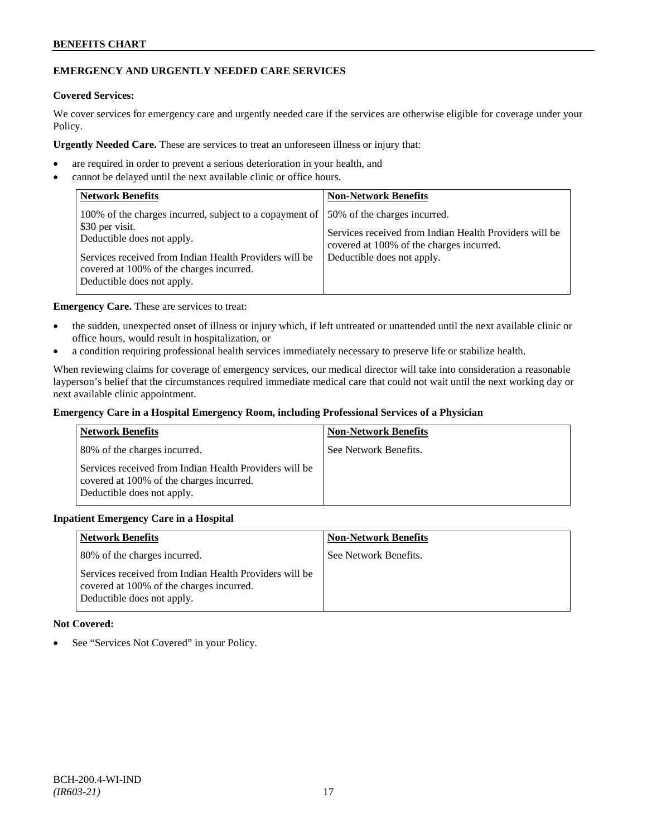# **BENEFITS CHART**

# **EMERGENCY AND URGENTLY NEEDED CARE SERVICES**

# **Covered Services:**

We cover services for emergency care and urgently needed care if the services are otherwise eligible for coverage under your Policy.

**Urgently Needed Care.** These are services to treat an unforeseen illness or injury that:

- are required in order to prevent a serious deterioration in your health, and
- cannot be delayed until the next available clinic or office hours.

| <b>Network Benefits</b>                                                                                                                                                                                                                      | <b>Non-Network Benefits</b>                                                                                                                                      |
|----------------------------------------------------------------------------------------------------------------------------------------------------------------------------------------------------------------------------------------------|------------------------------------------------------------------------------------------------------------------------------------------------------------------|
| 100% of the charges incurred, subject to a copayment of<br>\$30 per visit.<br>Deductible does not apply.<br>Services received from Indian Health Providers will be<br>covered at 100% of the charges incurred.<br>Deductible does not apply. | 50% of the charges incurred.<br>Services received from Indian Health Providers will be<br>covered at 100% of the charges incurred.<br>Deductible does not apply. |

**Emergency Care.** These are services to treat:

- the sudden, unexpected onset of illness or injury which, if left untreated or unattended until the next available clinic or office hours, would result in hospitalization, or
- a condition requiring professional health services immediately necessary to preserve life or stabilize health.

When reviewing claims for coverage of emergency services, our medical director will take into consideration a reasonable layperson's belief that the circumstances required immediate medical care that could not wait until the next working day or next available clinic appointment.

### **Emergency Care in a Hospital Emergency Room, including Professional Services of a Physician**

| <b>Network Benefits</b>                                                                                                          | <b>Non-Network Benefits</b> |
|----------------------------------------------------------------------------------------------------------------------------------|-----------------------------|
| 80% of the charges incurred.                                                                                                     | See Network Benefits.       |
| Services received from Indian Health Providers will be<br>covered at 100% of the charges incurred.<br>Deductible does not apply. |                             |

# **Inpatient Emergency Care in a Hospital**

| <b>Network Benefits</b>                                                                                                          | <b>Non-Network Benefits</b> |
|----------------------------------------------------------------------------------------------------------------------------------|-----------------------------|
| 80% of the charges incurred.                                                                                                     | See Network Benefits.       |
| Services received from Indian Health Providers will be<br>covered at 100% of the charges incurred.<br>Deductible does not apply. |                             |

# **Not Covered:**

• See "Services Not Covered" in your Policy.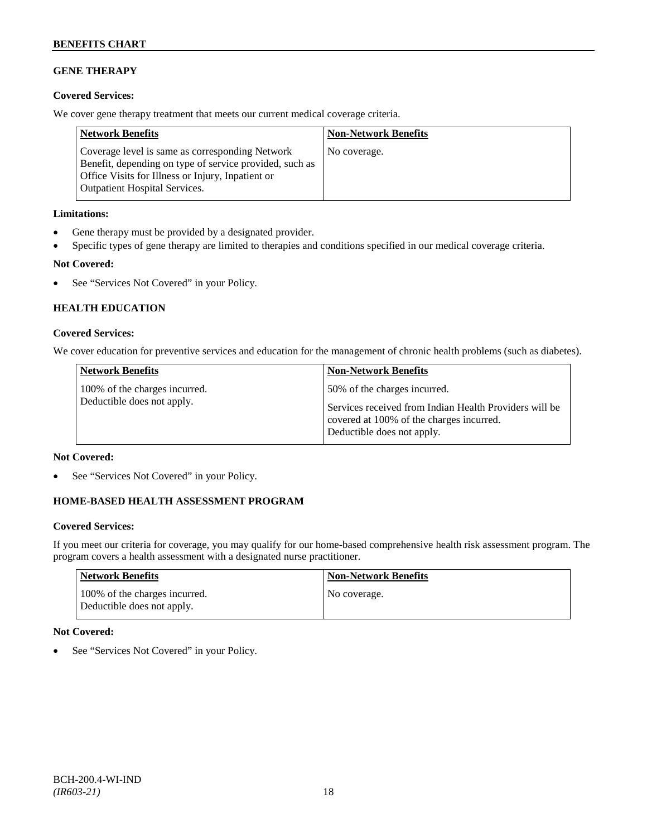# **GENE THERAPY**

# **Covered Services:**

We cover gene therapy treatment that meets our current medical coverage criteria.

| <b>Network Benefits</b>                                                                                                                                                                                 | <b>Non-Network Benefits</b> |
|---------------------------------------------------------------------------------------------------------------------------------------------------------------------------------------------------------|-----------------------------|
| Coverage level is same as corresponding Network<br>Benefit, depending on type of service provided, such as<br>Office Visits for Illness or Injury, Inpatient or<br><b>Outpatient Hospital Services.</b> | No coverage.                |

# **Limitations:**

- Gene therapy must be provided by a designated provider.
- Specific types of gene therapy are limited to therapies and conditions specified in our medical coverage criteria.

# **Not Covered:**

• See "Services Not Covered" in your Policy.

# **HEALTH EDUCATION**

# **Covered Services:**

We cover education for preventive services and education for the management of chronic health problems (such as diabetes).

| <b>Network Benefits</b>                                     | <b>Non-Network Benefits</b>                                                                                                      |
|-------------------------------------------------------------|----------------------------------------------------------------------------------------------------------------------------------|
| 100% of the charges incurred.<br>Deductible does not apply. | 50% of the charges incurred.                                                                                                     |
|                                                             | Services received from Indian Health Providers will be<br>covered at 100% of the charges incurred.<br>Deductible does not apply. |

# **Not Covered:**

See "Services Not Covered" in your Policy.

# **HOME-BASED HEALTH ASSESSMENT PROGRAM**

# **Covered Services:**

If you meet our criteria for coverage, you may qualify for our home-based comprehensive health risk assessment program. The program covers a health assessment with a designated nurse practitioner.

| <b>Network Benefits</b>                                     | <b>Non-Network Benefits</b> |
|-------------------------------------------------------------|-----------------------------|
| 100% of the charges incurred.<br>Deductible does not apply. | No coverage.                |

# **Not Covered:**

See "Services Not Covered" in your Policy.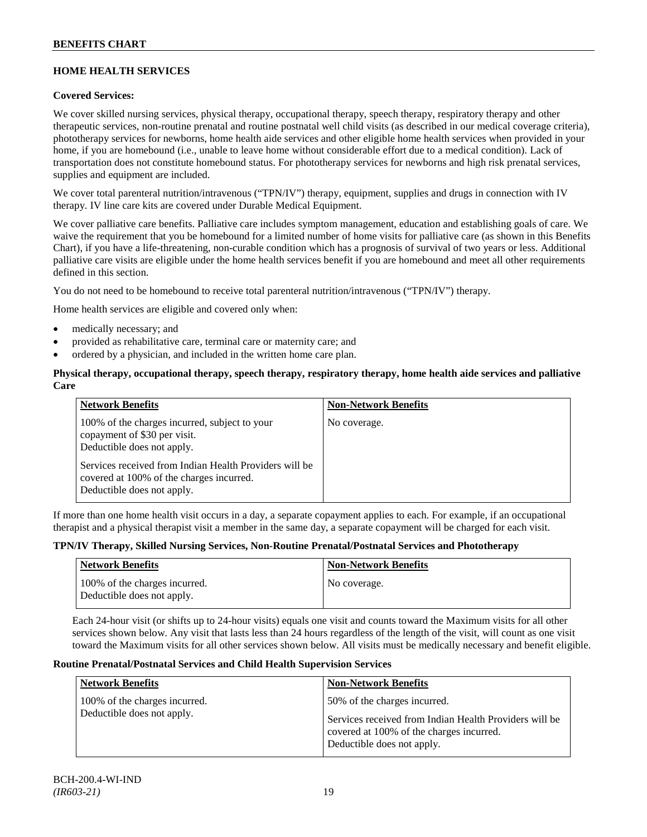# **HOME HEALTH SERVICES**

# **Covered Services:**

We cover skilled nursing services, physical therapy, occupational therapy, speech therapy, respiratory therapy and other therapeutic services, non-routine prenatal and routine postnatal well child visits (as described in our medical coverage criteria), phototherapy services for newborns, home health aide services and other eligible home health services when provided in your home, if you are homebound (i.e., unable to leave home without considerable effort due to a medical condition). Lack of transportation does not constitute homebound status. For phototherapy services for newborns and high risk prenatal services, supplies and equipment are included.

We cover total parenteral nutrition/intravenous ("TPN/IV") therapy, equipment, supplies and drugs in connection with IV therapy. IV line care kits are covered under Durable Medical Equipment.

We cover palliative care benefits. Palliative care includes symptom management, education and establishing goals of care. We waive the requirement that you be homebound for a limited number of home visits for palliative care (as shown in this Benefits Chart), if you have a life-threatening, non-curable condition which has a prognosis of survival of two years or less. Additional palliative care visits are eligible under the home health services benefit if you are homebound and meet all other requirements defined in this section.

You do not need to be homebound to receive total parenteral nutrition/intravenous ("TPN/IV") therapy.

Home health services are eligible and covered only when:

- medically necessary; and
- provided as rehabilitative care, terminal care or maternity care; and
- ordered by a physician, and included in the written home care plan.

### **Physical therapy, occupational therapy, speech therapy, respiratory therapy, home health aide services and palliative Care**

| <b>Network Benefits</b>                                                                                                          | <b>Non-Network Benefits</b> |
|----------------------------------------------------------------------------------------------------------------------------------|-----------------------------|
| 100% of the charges incurred, subject to your<br>copayment of \$30 per visit.<br>Deductible does not apply.                      | No coverage.                |
| Services received from Indian Health Providers will be<br>covered at 100% of the charges incurred.<br>Deductible does not apply. |                             |

If more than one home health visit occurs in a day, a separate copayment applies to each. For example, if an occupational therapist and a physical therapist visit a member in the same day, a separate copayment will be charged for each visit.

#### **TPN/IV Therapy, Skilled Nursing Services, Non-Routine Prenatal/Postnatal Services and Phototherapy**

| Network Benefits                                            | <b>Non-Network Benefits</b> |
|-------------------------------------------------------------|-----------------------------|
| 100% of the charges incurred.<br>Deductible does not apply. | No coverage.                |

Each 24-hour visit (or shifts up to 24-hour visits) equals one visit and counts toward the Maximum visits for all other services shown below. Any visit that lasts less than 24 hours regardless of the length of the visit, will count as one visit toward the Maximum visits for all other services shown below. All visits must be medically necessary and benefit eligible.

#### **Routine Prenatal/Postnatal Services and Child Health Supervision Services**

| <b>Network Benefits</b>                                     | <b>Non-Network Benefits</b>                                                                                                        |
|-------------------------------------------------------------|------------------------------------------------------------------------------------------------------------------------------------|
| 100% of the charges incurred.<br>Deductible does not apply. | 50% of the charges incurred.<br>Services received from Indian Health Providers will be<br>covered at 100% of the charges incurred. |
|                                                             | Deductible does not apply.                                                                                                         |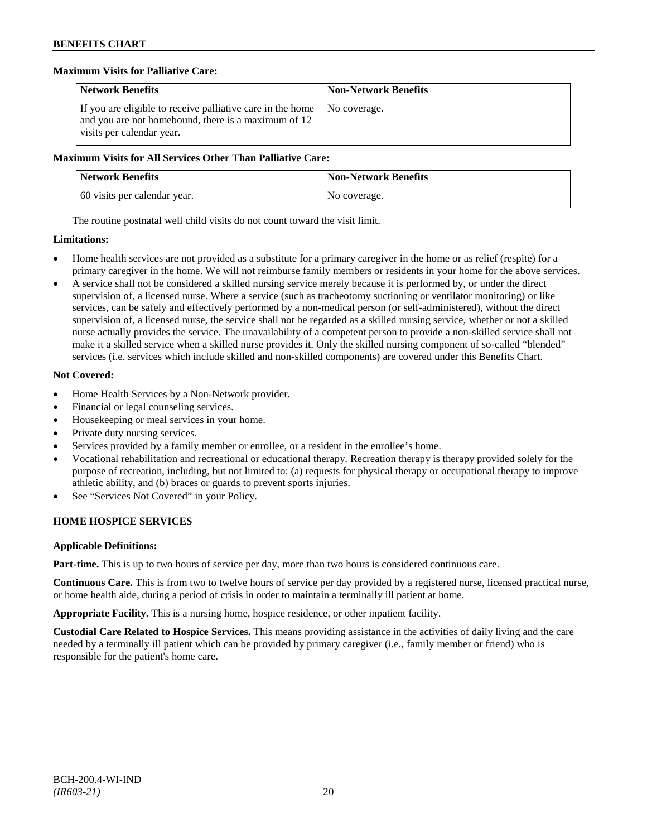# **Maximum Visits for Palliative Care:**

| <b>Network Benefits</b>                                                                                                                        | <b>Non-Network Benefits</b> |
|------------------------------------------------------------------------------------------------------------------------------------------------|-----------------------------|
| If you are eligible to receive palliative care in the home<br>and you are not homebound, there is a maximum of 12<br>visits per calendar year. | I No coverage.              |

### **Maximum Visits for All Services Other Than Palliative Care:**

| <b>Network Benefits</b>      | <b>Non-Network Benefits</b> |
|------------------------------|-----------------------------|
| 60 visits per calendar year. | No coverage.                |

The routine postnatal well child visits do not count toward the visit limit.

### **Limitations:**

- Home health services are not provided as a substitute for a primary caregiver in the home or as relief (respite) for a primary caregiver in the home. We will not reimburse family members or residents in your home for the above services.
- A service shall not be considered a skilled nursing service merely because it is performed by, or under the direct supervision of, a licensed nurse. Where a service (such as tracheotomy suctioning or ventilator monitoring) or like services, can be safely and effectively performed by a non-medical person (or self-administered), without the direct supervision of, a licensed nurse, the service shall not be regarded as a skilled nursing service, whether or not a skilled nurse actually provides the service. The unavailability of a competent person to provide a non-skilled service shall not make it a skilled service when a skilled nurse provides it. Only the skilled nursing component of so-called "blended" services (i.e. services which include skilled and non-skilled components) are covered under this Benefits Chart.

# **Not Covered:**

- Home Health Services by a Non-Network provider.
- Financial or legal counseling services.
- Housekeeping or meal services in your home.
- Private duty nursing services.
- Services provided by a family member or enrollee, or a resident in the enrollee's home.
- Vocational rehabilitation and recreational or educational therapy. Recreation therapy is therapy provided solely for the purpose of recreation, including, but not limited to: (a) requests for physical therapy or occupational therapy to improve athletic ability, and (b) braces or guards to prevent sports injuries.
- See "Services Not Covered" in your Policy.

# **HOME HOSPICE SERVICES**

# **Applicable Definitions:**

**Part-time.** This is up to two hours of service per day, more than two hours is considered continuous care.

**Continuous Care.** This is from two to twelve hours of service per day provided by a registered nurse, licensed practical nurse, or home health aide, during a period of crisis in order to maintain a terminally ill patient at home.

**Appropriate Facility.** This is a nursing home, hospice residence, or other inpatient facility.

**Custodial Care Related to Hospice Services.** This means providing assistance in the activities of daily living and the care needed by a terminally ill patient which can be provided by primary caregiver (i.e., family member or friend) who is responsible for the patient's home care.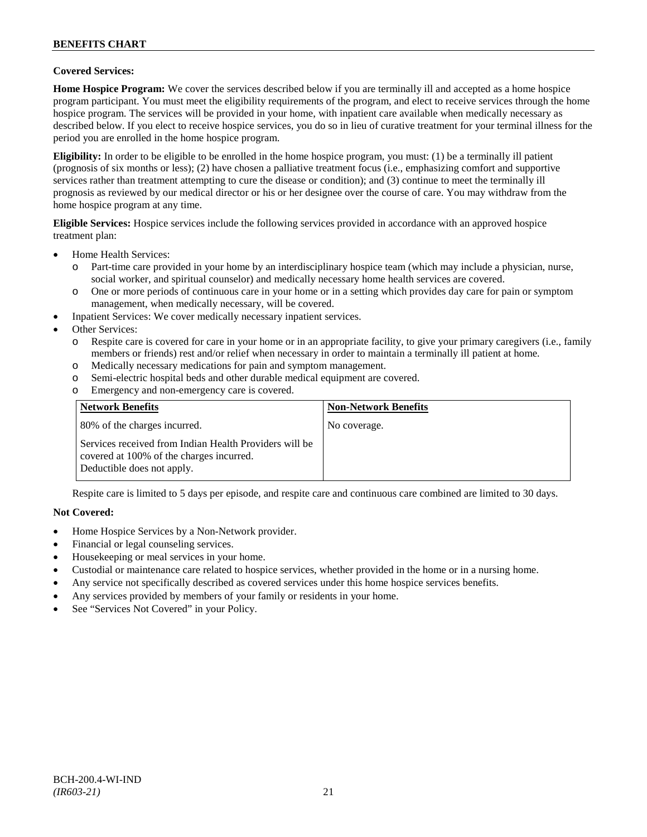# **BENEFITS CHART**

### **Covered Services:**

**Home Hospice Program:** We cover the services described below if you are terminally ill and accepted as a home hospice program participant. You must meet the eligibility requirements of the program, and elect to receive services through the home hospice program. The services will be provided in your home, with inpatient care available when medically necessary as described below. If you elect to receive hospice services, you do so in lieu of curative treatment for your terminal illness for the period you are enrolled in the home hospice program.

**Eligibility:** In order to be eligible to be enrolled in the home hospice program, you must: (1) be a terminally ill patient (prognosis of six months or less); (2) have chosen a palliative treatment focus (i.e., emphasizing comfort and supportive services rather than treatment attempting to cure the disease or condition); and (3) continue to meet the terminally ill prognosis as reviewed by our medical director or his or her designee over the course of care. You may withdraw from the home hospice program at any time.

**Eligible Services:** Hospice services include the following services provided in accordance with an approved hospice treatment plan:

- Home Health Services:
	- o Part-time care provided in your home by an interdisciplinary hospice team (which may include a physician, nurse, social worker, and spiritual counselor) and medically necessary home health services are covered.
	- o One or more periods of continuous care in your home or in a setting which provides day care for pain or symptom management, when medically necessary, will be covered.
- Inpatient Services: We cover medically necessary inpatient services.
- Other Services:
	- o Respite care is covered for care in your home or in an appropriate facility, to give your primary caregivers (i.e., family members or friends) rest and/or relief when necessary in order to maintain a terminally ill patient at home*.*
	- o Medically necessary medications for pain and symptom management.
	- o Semi-electric hospital beds and other durable medical equipment are covered.
	- o Emergency and non-emergency care is covered.

| <b>Network Benefits</b>                                                                                                          | <b>Non-Network Benefits</b> |
|----------------------------------------------------------------------------------------------------------------------------------|-----------------------------|
| 80% of the charges incurred.                                                                                                     | No coverage.                |
| Services received from Indian Health Providers will be<br>covered at 100% of the charges incurred.<br>Deductible does not apply. |                             |

Respite care is limited to 5 days per episode, and respite care and continuous care combined are limited to 30 days.

#### **Not Covered:**

- Home Hospice Services by a Non-Network provider.
- Financial or legal counseling services.
- Housekeeping or meal services in your home.
- Custodial or maintenance care related to hospice services, whether provided in the home or in a nursing home.
- Any service not specifically described as covered services under this home hospice services benefits.
- Any services provided by members of your family or residents in your home.
- See "Services Not Covered" in your Policy.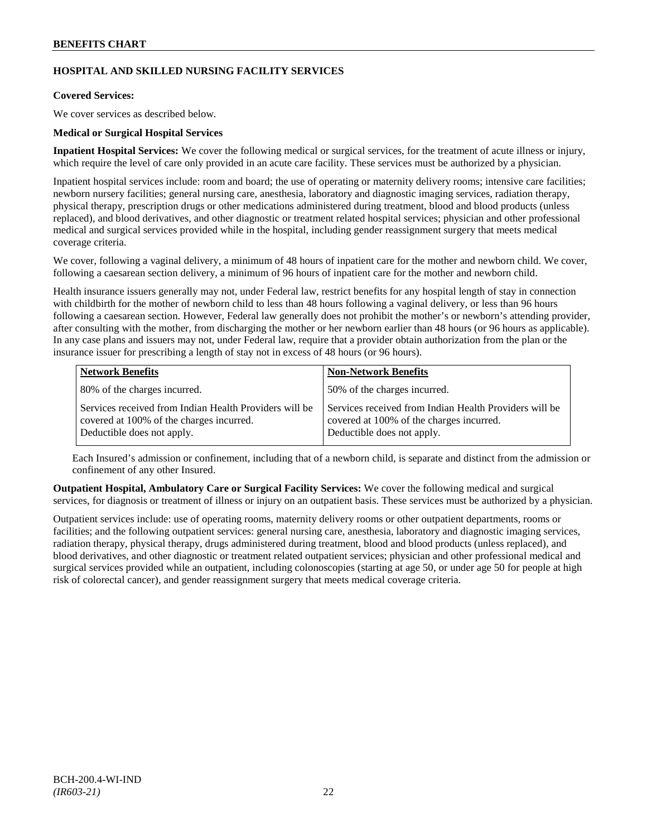# **HOSPITAL AND SKILLED NURSING FACILITY SERVICES**

# **Covered Services:**

We cover services as described below.

### **Medical or Surgical Hospital Services**

**Inpatient Hospital Services:** We cover the following medical or surgical services, for the treatment of acute illness or injury, which require the level of care only provided in an acute care facility. These services must be authorized by a physician.

Inpatient hospital services include: room and board; the use of operating or maternity delivery rooms; intensive care facilities; newborn nursery facilities; general nursing care, anesthesia, laboratory and diagnostic imaging services, radiation therapy, physical therapy, prescription drugs or other medications administered during treatment, blood and blood products (unless replaced), and blood derivatives, and other diagnostic or treatment related hospital services; physician and other professional medical and surgical services provided while in the hospital, including gender reassignment surgery that meets medical coverage criteria.

We cover, following a vaginal delivery, a minimum of 48 hours of inpatient care for the mother and newborn child. We cover, following a caesarean section delivery, a minimum of 96 hours of inpatient care for the mother and newborn child.

Health insurance issuers generally may not, under Federal law, restrict benefits for any hospital length of stay in connection with childbirth for the mother of newborn child to less than 48 hours following a vaginal delivery, or less than 96 hours following a caesarean section. However, Federal law generally does not prohibit the mother's or newborn's attending provider, after consulting with the mother, from discharging the mother or her newborn earlier than 48 hours (or 96 hours as applicable). In any case plans and issuers may not, under Federal law, require that a provider obtain authorization from the plan or the insurance issuer for prescribing a length of stay not in excess of 48 hours (or 96 hours).

| <b>Network Benefits</b>                                                                                                          | <b>Non-Network Benefits</b>                                                                                                      |
|----------------------------------------------------------------------------------------------------------------------------------|----------------------------------------------------------------------------------------------------------------------------------|
| 80% of the charges incurred.                                                                                                     | 50% of the charges incurred.                                                                                                     |
| Services received from Indian Health Providers will be<br>covered at 100% of the charges incurred.<br>Deductible does not apply. | Services received from Indian Health Providers will be<br>covered at 100% of the charges incurred.<br>Deductible does not apply. |

Each Insured's admission or confinement, including that of a newborn child, is separate and distinct from the admission or confinement of any other Insured.

**Outpatient Hospital, Ambulatory Care or Surgical Facility Services:** We cover the following medical and surgical services, for diagnosis or treatment of illness or injury on an outpatient basis. These services must be authorized by a physician.

Outpatient services include: use of operating rooms, maternity delivery rooms or other outpatient departments, rooms or facilities; and the following outpatient services: general nursing care, anesthesia, laboratory and diagnostic imaging services, radiation therapy, physical therapy, drugs administered during treatment, blood and blood products (unless replaced), and blood derivatives, and other diagnostic or treatment related outpatient services; physician and other professional medical and surgical services provided while an outpatient, including colonoscopies (starting at age 50, or under age 50 for people at high risk of colorectal cancer), and gender reassignment surgery that meets medical coverage criteria.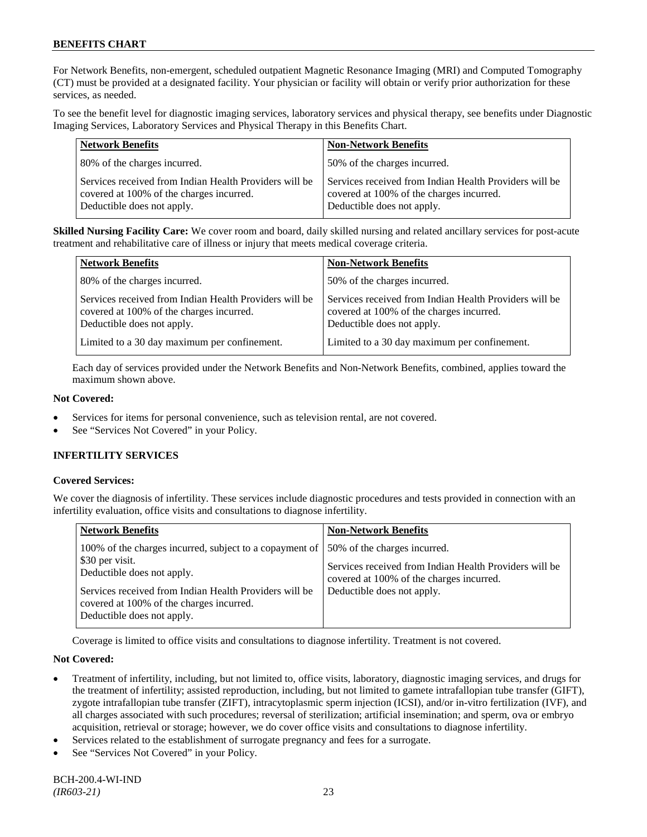For Network Benefits, non-emergent, scheduled outpatient Magnetic Resonance Imaging (MRI) and Computed Tomography (CT) must be provided at a designated facility. Your physician or facility will obtain or verify prior authorization for these services, as needed.

To see the benefit level for diagnostic imaging services, laboratory services and physical therapy, see benefits under Diagnostic Imaging Services, Laboratory Services and Physical Therapy in this Benefits Chart.

| <b>Network Benefits</b>                                                                                                          | <b>Non-Network Benefits</b>                                                                                                      |
|----------------------------------------------------------------------------------------------------------------------------------|----------------------------------------------------------------------------------------------------------------------------------|
| 80% of the charges incurred.                                                                                                     | 50% of the charges incurred.                                                                                                     |
| Services received from Indian Health Providers will be<br>covered at 100% of the charges incurred.<br>Deductible does not apply. | Services received from Indian Health Providers will be<br>covered at 100% of the charges incurred.<br>Deductible does not apply. |

**Skilled Nursing Facility Care:** We cover room and board, daily skilled nursing and related ancillary services for post-acute treatment and rehabilitative care of illness or injury that meets medical coverage criteria.

| <b>Network Benefits</b>                                                                                                          | <b>Non-Network Benefits</b>                                                                                                      |
|----------------------------------------------------------------------------------------------------------------------------------|----------------------------------------------------------------------------------------------------------------------------------|
| 80% of the charges incurred.                                                                                                     | 50% of the charges incurred.                                                                                                     |
| Services received from Indian Health Providers will be<br>covered at 100% of the charges incurred.<br>Deductible does not apply. | Services received from Indian Health Providers will be<br>covered at 100% of the charges incurred.<br>Deductible does not apply. |
| Limited to a 30 day maximum per confinement.                                                                                     | Limited to a 30 day maximum per confinement.                                                                                     |

Each day of services provided under the Network Benefits and Non-Network Benefits, combined, applies toward the maximum shown above.

# **Not Covered:**

- Services for items for personal convenience, such as television rental, are not covered.
- See "Services Not Covered" in your Policy.

# **INFERTILITY SERVICES**

# **Covered Services:**

We cover the diagnosis of infertility. These services include diagnostic procedures and tests provided in connection with an infertility evaluation, office visits and consultations to diagnose infertility.

| <b>Network Benefits</b>                                                                                                                                                                                        | <b>Non-Network Benefits</b>                                                                                                                                      |
|----------------------------------------------------------------------------------------------------------------------------------------------------------------------------------------------------------------|------------------------------------------------------------------------------------------------------------------------------------------------------------------|
| 100% of the charges incurred, subject to a copayment of<br>\$30 per visit.<br>Deductible does not apply.<br>Services received from Indian Health Providers will be<br>covered at 100% of the charges incurred. | 50% of the charges incurred.<br>Services received from Indian Health Providers will be<br>covered at 100% of the charges incurred.<br>Deductible does not apply. |
| Deductible does not apply.                                                                                                                                                                                     |                                                                                                                                                                  |

Coverage is limited to office visits and consultations to diagnose infertility. Treatment is not covered.

# **Not Covered:**

- Treatment of infertility, including, but not limited to, office visits, laboratory, diagnostic imaging services, and drugs for the treatment of infertility; assisted reproduction, including, but not limited to gamete intrafallopian tube transfer (GIFT), zygote intrafallopian tube transfer (ZIFT), intracytoplasmic sperm injection (ICSI), and/or in-vitro fertilization (IVF), and all charges associated with such procedures; reversal of sterilization; artificial insemination; and sperm, ova or embryo acquisition, retrieval or storage; however, we do cover office visits and consultations to diagnose infertility.
- Services related to the establishment of surrogate pregnancy and fees for a surrogate.
- See "Services Not Covered" in your Policy.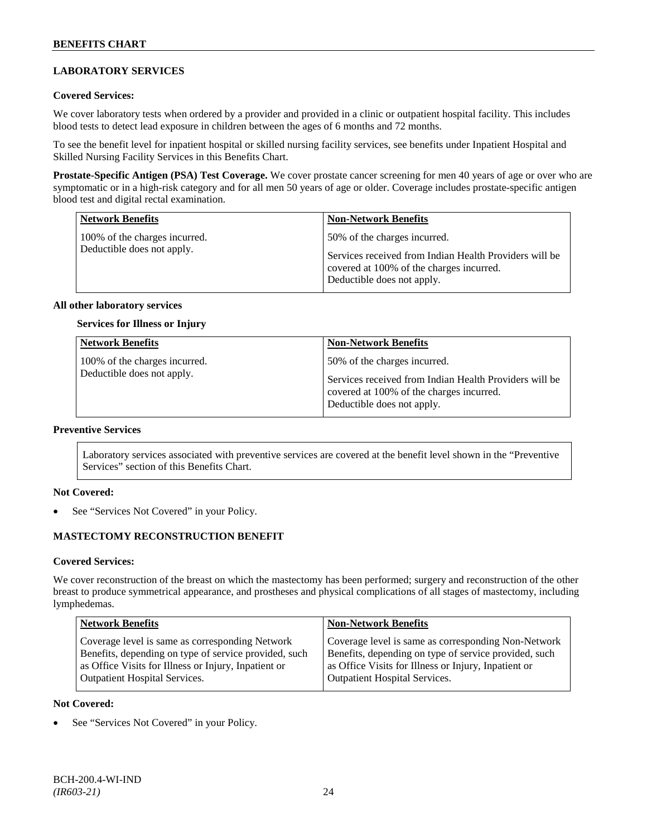# **LABORATORY SERVICES**

### **Covered Services:**

We cover laboratory tests when ordered by a provider and provided in a clinic or outpatient hospital facility. This includes blood tests to detect lead exposure in children between the ages of 6 months and 72 months.

To see the benefit level for inpatient hospital or skilled nursing facility services, see benefits under Inpatient Hospital and Skilled Nursing Facility Services in this Benefits Chart.

**Prostate-Specific Antigen (PSA) Test Coverage.** We cover prostate cancer screening for men 40 years of age or over who are symptomatic or in a high-risk category and for all men 50 years of age or older. Coverage includes prostate-specific antigen blood test and digital rectal examination.

| <b>Network Benefits</b>                                     | <b>Non-Network Benefits</b>                                                                                                                                      |
|-------------------------------------------------------------|------------------------------------------------------------------------------------------------------------------------------------------------------------------|
| 100% of the charges incurred.<br>Deductible does not apply. | 50% of the charges incurred.<br>Services received from Indian Health Providers will be<br>covered at 100% of the charges incurred.<br>Deductible does not apply. |

### **All other laboratory services**

# **Services for Illness or Injury**

| <b>Network Benefits</b>                                     | <b>Non-Network Benefits</b>                                                                                                                                      |
|-------------------------------------------------------------|------------------------------------------------------------------------------------------------------------------------------------------------------------------|
| 100% of the charges incurred.<br>Deductible does not apply. | 50% of the charges incurred.<br>Services received from Indian Health Providers will be<br>covered at 100% of the charges incurred.<br>Deductible does not apply. |

# **Preventive Services**

Laboratory services associated with preventive services are covered at the benefit level shown in the "Preventive Services" section of this Benefits Chart.

#### **Not Covered:**

See "Services Not Covered" in your Policy.

# **MASTECTOMY RECONSTRUCTION BENEFIT**

#### **Covered Services:**

We cover reconstruction of the breast on which the mastectomy has been performed; surgery and reconstruction of the other breast to produce symmetrical appearance, and prostheses and physical complications of all stages of mastectomy, including lymphedemas.

| <b>Network Benefits</b>                               | <b>Non-Network Benefits</b>                           |
|-------------------------------------------------------|-------------------------------------------------------|
| Coverage level is same as corresponding Network       | Coverage level is same as corresponding Non-Network   |
| Benefits, depending on type of service provided, such | Benefits, depending on type of service provided, such |
| as Office Visits for Illness or Injury, Inpatient or  | as Office Visits for Illness or Injury, Inpatient or  |
| <b>Outpatient Hospital Services.</b>                  | <b>Outpatient Hospital Services.</b>                  |

#### **Not Covered:**

See "Services Not Covered" in your Policy.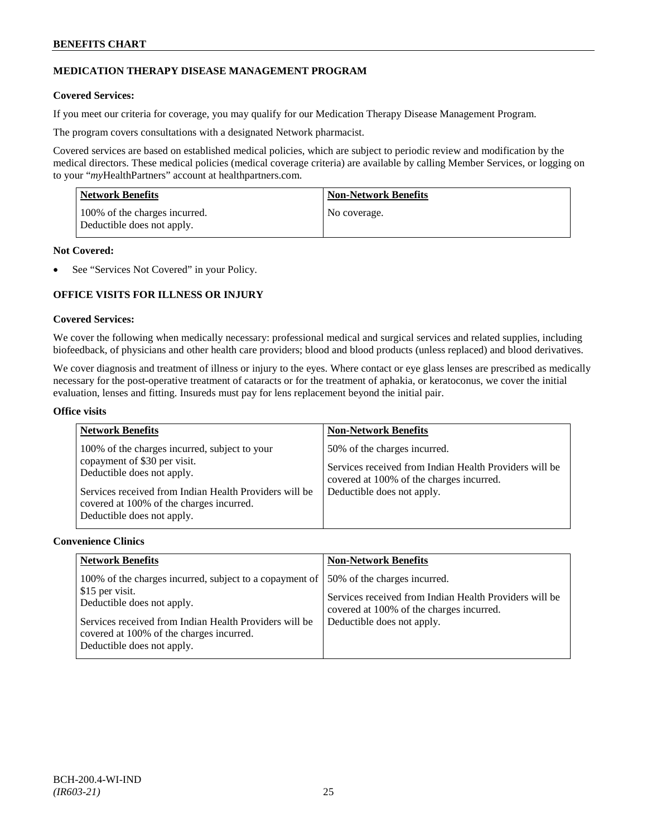# **MEDICATION THERAPY DISEASE MANAGEMENT PROGRAM**

# **Covered Services:**

If you meet our criteria for coverage, you may qualify for our Medication Therapy Disease Management Program.

The program covers consultations with a designated Network pharmacist.

Covered services are based on established medical policies, which are subject to periodic review and modification by the medical directors. These medical policies (medical coverage criteria) are available by calling Member Services, or logging on to your "*my*HealthPartners" account at [healthpartners.com.](http://www.healthpartners.com/)

| <b>Network Benefits</b>                                     | <b>Non-Network Benefits</b> |
|-------------------------------------------------------------|-----------------------------|
| 100% of the charges incurred.<br>Deductible does not apply. | No coverage.                |

### **Not Covered:**

See "Services Not Covered" in your Policy.

# **OFFICE VISITS FOR ILLNESS OR INJURY**

### **Covered Services:**

We cover the following when medically necessary: professional medical and surgical services and related supplies, including biofeedback, of physicians and other health care providers; blood and blood products (unless replaced) and blood derivatives.

We cover diagnosis and treatment of illness or injury to the eyes. Where contact or eye glass lenses are prescribed as medically necessary for the post-operative treatment of cataracts or for the treatment of aphakia, or keratoconus, we cover the initial evaluation, lenses and fitting. Insureds must pay for lens replacement beyond the initial pair.

### **Office visits**

| <b>Network Benefits</b>                                                                                                                                                                                                                         | <b>Non-Network Benefits</b>                                                                                                                                      |
|-------------------------------------------------------------------------------------------------------------------------------------------------------------------------------------------------------------------------------------------------|------------------------------------------------------------------------------------------------------------------------------------------------------------------|
| 100% of the charges incurred, subject to your<br>copayment of \$30 per visit.<br>Deductible does not apply.<br>Services received from Indian Health Providers will be<br>covered at 100% of the charges incurred.<br>Deductible does not apply. | 50% of the charges incurred.<br>Services received from Indian Health Providers will be<br>covered at 100% of the charges incurred.<br>Deductible does not apply. |

### **Convenience Clinics**

| <b>Network Benefits</b>                                                                                                                                                                                                                      | <b>Non-Network Benefits</b>                                                                                                                                      |
|----------------------------------------------------------------------------------------------------------------------------------------------------------------------------------------------------------------------------------------------|------------------------------------------------------------------------------------------------------------------------------------------------------------------|
| 100% of the charges incurred, subject to a copayment of<br>\$15 per visit.<br>Deductible does not apply.<br>Services received from Indian Health Providers will be<br>covered at 100% of the charges incurred.<br>Deductible does not apply. | 50% of the charges incurred.<br>Services received from Indian Health Providers will be<br>covered at 100% of the charges incurred.<br>Deductible does not apply. |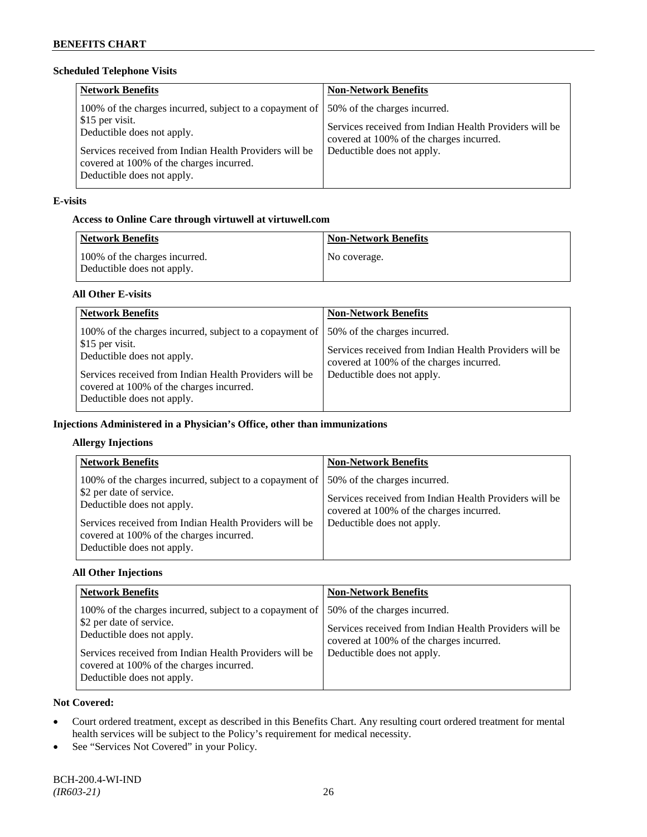# **Scheduled Telephone Visits**

| <b>Network Benefits</b>                                                                                                                                                                                                                      | <b>Non-Network Benefits</b>                                                                                                                                      |
|----------------------------------------------------------------------------------------------------------------------------------------------------------------------------------------------------------------------------------------------|------------------------------------------------------------------------------------------------------------------------------------------------------------------|
| 100% of the charges incurred, subject to a copayment of<br>\$15 per visit.<br>Deductible does not apply.<br>Services received from Indian Health Providers will be<br>covered at 100% of the charges incurred.<br>Deductible does not apply. | 50% of the charges incurred.<br>Services received from Indian Health Providers will be<br>covered at 100% of the charges incurred.<br>Deductible does not apply. |

# **E-visits**

# **Access to Online Care through virtuwell a[t virtuwell.com](http://www.virtuwell.com/)**

| Network Benefits                                            | <b>Non-Network Benefits</b> |
|-------------------------------------------------------------|-----------------------------|
| 100% of the charges incurred.<br>Deductible does not apply. | No coverage.                |

# **All Other E-visits**

| <b>Network Benefits</b>                                                                                                                                                                                                                      | <b>Non-Network Benefits</b>                                                                                                                                      |
|----------------------------------------------------------------------------------------------------------------------------------------------------------------------------------------------------------------------------------------------|------------------------------------------------------------------------------------------------------------------------------------------------------------------|
| 100% of the charges incurred, subject to a copayment of<br>\$15 per visit.<br>Deductible does not apply.<br>Services received from Indian Health Providers will be<br>covered at 100% of the charges incurred.<br>Deductible does not apply. | 50% of the charges incurred.<br>Services received from Indian Health Providers will be<br>covered at 100% of the charges incurred.<br>Deductible does not apply. |

# **Injections Administered in a Physician's Office, other than immunizations**

# **Allergy Injections**

| <b>Network Benefits</b>                                                                                                                                                                                                                               | <b>Non-Network Benefits</b>                                                                                                                                      |
|-------------------------------------------------------------------------------------------------------------------------------------------------------------------------------------------------------------------------------------------------------|------------------------------------------------------------------------------------------------------------------------------------------------------------------|
| 100% of the charges incurred, subject to a copayment of<br>\$2 per date of service.<br>Deductible does not apply.<br>Services received from Indian Health Providers will be<br>covered at 100% of the charges incurred.<br>Deductible does not apply. | 50% of the charges incurred.<br>Services received from Indian Health Providers will be<br>covered at 100% of the charges incurred.<br>Deductible does not apply. |

# **All Other Injections**

| <b>Network Benefits</b>                                                                                                                                                                                                                                 | <b>Non-Network Benefits</b>                                                                                                                                      |
|---------------------------------------------------------------------------------------------------------------------------------------------------------------------------------------------------------------------------------------------------------|------------------------------------------------------------------------------------------------------------------------------------------------------------------|
| 100% of the charges incurred, subject to a copayment of  <br>\$2 per date of service.<br>Deductible does not apply.<br>Services received from Indian Health Providers will be<br>covered at 100% of the charges incurred.<br>Deductible does not apply. | 50% of the charges incurred.<br>Services received from Indian Health Providers will be<br>covered at 100% of the charges incurred.<br>Deductible does not apply. |

# **Not Covered:**

- Court ordered treatment, except as described in this Benefits Chart. Any resulting court ordered treatment for mental health services will be subject to the Policy's requirement for medical necessity.
- See "Services Not Covered" in your Policy.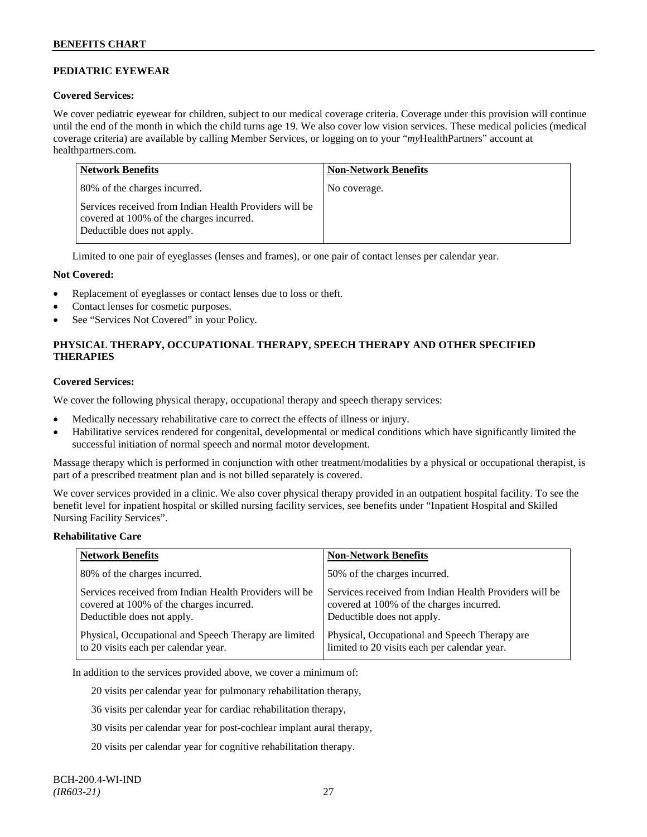# **PEDIATRIC EYEWEAR**

### **Covered Services:**

We cover pediatric eyewear for children, subject to our medical coverage criteria. Coverage under this provision will continue until the end of the month in which the child turns age 19. We also cover low vision services. These medical policies (medical coverage criteria) are available by calling Member Services, or logging on to your "*my*HealthPartners" account at [healthpartners.com.](http://www.healthpartners.com/)

| <b>Network Benefits</b>                                                                                                          | <b>Non-Network Benefits</b> |
|----------------------------------------------------------------------------------------------------------------------------------|-----------------------------|
| 80% of the charges incurred.                                                                                                     | No coverage.                |
| Services received from Indian Health Providers will be<br>covered at 100% of the charges incurred.<br>Deductible does not apply. |                             |

Limited to one pair of eyeglasses (lenses and frames), or one pair of contact lenses per calendar year.

### **Not Covered:**

- Replacement of eyeglasses or contact lenses due to loss or theft.
- Contact lenses for cosmetic purposes.
- See "Services Not Covered" in your Policy.

# **PHYSICAL THERAPY, OCCUPATIONAL THERAPY, SPEECH THERAPY AND OTHER SPECIFIED THERAPIES**

#### **Covered Services:**

We cover the following physical therapy, occupational therapy and speech therapy services:

- Medically necessary rehabilitative care to correct the effects of illness or injury.
- Habilitative services rendered for congenital, developmental or medical conditions which have significantly limited the successful initiation of normal speech and normal motor development.

Massage therapy which is performed in conjunction with other treatment/modalities by a physical or occupational therapist, is part of a prescribed treatment plan and is not billed separately is covered.

We cover services provided in a clinic. We also cover physical therapy provided in an outpatient hospital facility. To see the benefit level for inpatient hospital or skilled nursing facility services, see benefits under "Inpatient Hospital and Skilled Nursing Facility Services".

#### **Rehabilitative Care**

| <b>Network Benefits</b>                                | <b>Non-Network Benefits</b>                            |
|--------------------------------------------------------|--------------------------------------------------------|
| 80% of the charges incurred.                           | 50% of the charges incurred.                           |
| Services received from Indian Health Providers will be | Services received from Indian Health Providers will be |
| covered at 100% of the charges incurred.               | covered at 100% of the charges incurred.               |
| Deductible does not apply.                             | Deductible does not apply.                             |
| Physical, Occupational and Speech Therapy are limited  | Physical, Occupational and Speech Therapy are          |
| to 20 visits each per calendar year.                   | limited to 20 visits each per calendar year.           |

In addition to the services provided above, we cover a minimum of:

20 visits per calendar year for pulmonary rehabilitation therapy,

36 visits per calendar year for cardiac rehabilitation therapy,

30 visits per calendar year for post-cochlear implant aural therapy,

20 visits per calendar year for cognitive rehabilitation therapy.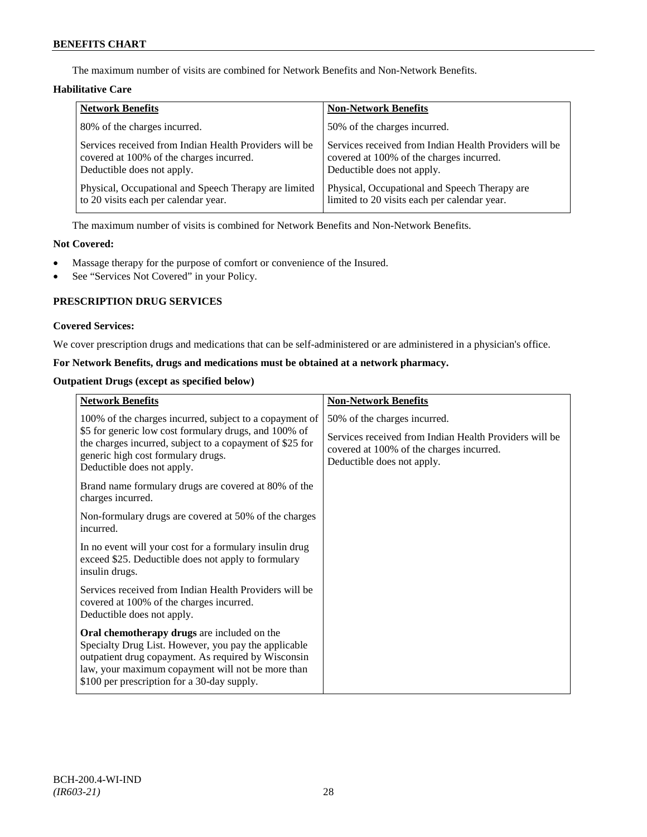The maximum number of visits are combined for Network Benefits and Non-Network Benefits.

# **Habilitative Care**

| <b>Network Benefits</b>                                | <b>Non-Network Benefits</b>                            |
|--------------------------------------------------------|--------------------------------------------------------|
| 80% of the charges incurred.                           | 50% of the charges incurred.                           |
| Services received from Indian Health Providers will be | Services received from Indian Health Providers will be |
| covered at 100% of the charges incurred.               | covered at 100% of the charges incurred.               |
| Deductible does not apply.                             | Deductible does not apply.                             |
| Physical, Occupational and Speech Therapy are limited  | Physical, Occupational and Speech Therapy are.         |
| to 20 visits each per calendar year.                   | limited to 20 visits each per calendar year.           |

The maximum number of visits is combined for Network Benefits and Non-Network Benefits.

# **Not Covered:**

- Massage therapy for the purpose of comfort or convenience of the Insured.
- See "Services Not Covered" in your Policy.

# **PRESCRIPTION DRUG SERVICES**

# **Covered Services:**

We cover prescription drugs and medications that can be self-administered or are administered in a physician's office.

# **For Network Benefits, drugs and medications must be obtained at a network pharmacy.**

### **Outpatient Drugs (except as specified below)**

| <b>Network Benefits</b>                                                                                                                                                                                                                                        | <b>Non-Network Benefits</b>                                                                                                                                      |
|----------------------------------------------------------------------------------------------------------------------------------------------------------------------------------------------------------------------------------------------------------------|------------------------------------------------------------------------------------------------------------------------------------------------------------------|
| 100% of the charges incurred, subject to a copayment of<br>\$5 for generic low cost formulary drugs, and 100% of<br>the charges incurred, subject to a copayment of \$25 for<br>generic high cost formulary drugs.<br>Deductible does not apply.               | 50% of the charges incurred.<br>Services received from Indian Health Providers will be<br>covered at 100% of the charges incurred.<br>Deductible does not apply. |
| Brand name formulary drugs are covered at 80% of the<br>charges incurred.                                                                                                                                                                                      |                                                                                                                                                                  |
| Non-formulary drugs are covered at 50% of the charges<br>incurred.                                                                                                                                                                                             |                                                                                                                                                                  |
| In no event will your cost for a formulary insulin drug<br>exceed \$25. Deductible does not apply to formulary<br>insulin drugs.                                                                                                                               |                                                                                                                                                                  |
| Services received from Indian Health Providers will be<br>covered at 100% of the charges incurred.<br>Deductible does not apply.                                                                                                                               |                                                                                                                                                                  |
| Oral chemotherapy drugs are included on the<br>Specialty Drug List. However, you pay the applicable<br>outpatient drug copayment. As required by Wisconsin<br>law, your maximum copayment will not be more than<br>\$100 per prescription for a 30-day supply. |                                                                                                                                                                  |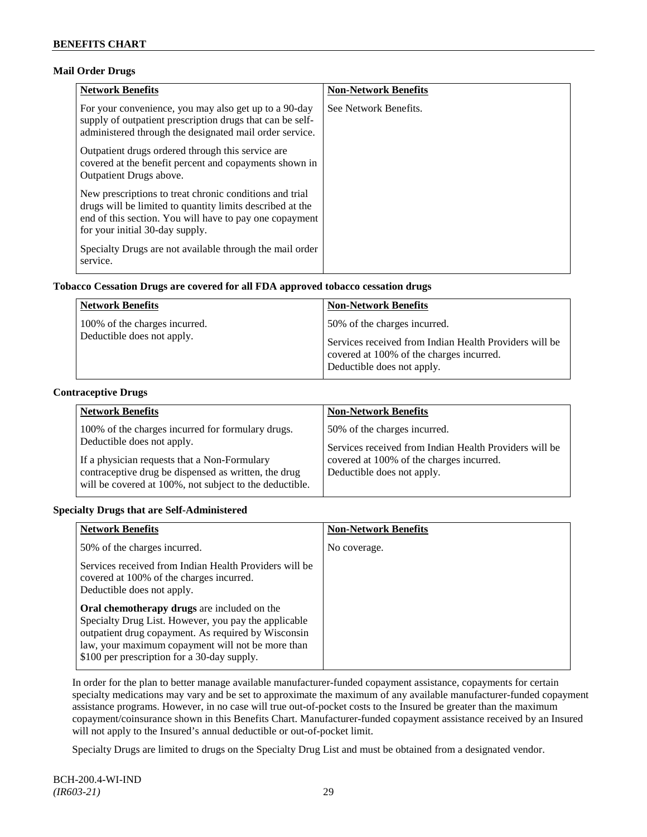# **Mail Order Drugs**

| <b>Network Benefits</b>                                                                                                                                                                                            | <b>Non-Network Benefits</b> |
|--------------------------------------------------------------------------------------------------------------------------------------------------------------------------------------------------------------------|-----------------------------|
| For your convenience, you may also get up to a 90-day<br>supply of outpatient prescription drugs that can be self-<br>administered through the designated mail order service.                                      | See Network Benefits.       |
| Outpatient drugs ordered through this service are.<br>covered at the benefit percent and copayments shown in<br><b>Outpatient Drugs above.</b>                                                                     |                             |
| New prescriptions to treat chronic conditions and trial<br>drugs will be limited to quantity limits described at the<br>end of this section. You will have to pay one copayment<br>for your initial 30-day supply. |                             |
| Specialty Drugs are not available through the mail order<br>service.                                                                                                                                               |                             |

# **Tobacco Cessation Drugs are covered for all FDA approved tobacco cessation drugs**

| <b>Network Benefits</b>                                     | <b>Non-Network Benefits</b>                                                                        |
|-------------------------------------------------------------|----------------------------------------------------------------------------------------------------|
| 100% of the charges incurred.<br>Deductible does not apply. | 50% of the charges incurred.                                                                       |
|                                                             | Services received from Indian Health Providers will be<br>covered at 100% of the charges incurred. |
|                                                             | Deductible does not apply.                                                                         |

# **Contraceptive Drugs**

| <b>Network Benefits</b>                                                                                                         | <b>Non-Network Benefits</b>                                                                                                        |
|---------------------------------------------------------------------------------------------------------------------------------|------------------------------------------------------------------------------------------------------------------------------------|
| 100% of the charges incurred for formulary drugs.<br>Deductible does not apply.<br>If a physician requests that a Non-Formulary | 50% of the charges incurred.<br>Services received from Indian Health Providers will be<br>covered at 100% of the charges incurred. |
| contraceptive drug be dispensed as written, the drug<br>will be covered at 100%, not subject to the deductible.                 | Deductible does not apply.                                                                                                         |

# **Specialty Drugs that are Self-Administered**

| <b>Network Benefits</b>                                                                                                                                                                                                                                               | <b>Non-Network Benefits</b> |
|-----------------------------------------------------------------------------------------------------------------------------------------------------------------------------------------------------------------------------------------------------------------------|-----------------------------|
| 50% of the charges incurred.                                                                                                                                                                                                                                          | No coverage.                |
| Services received from Indian Health Providers will be<br>covered at 100% of the charges incurred.<br>Deductible does not apply.                                                                                                                                      |                             |
| <b>Oral chemotherapy drugs</b> are included on the<br>Specialty Drug List. However, you pay the applicable<br>outpatient drug copayment. As required by Wisconsin<br>law, your maximum copayment will not be more than<br>\$100 per prescription for a 30-day supply. |                             |

In order for the plan to better manage available manufacturer-funded copayment assistance, copayments for certain specialty medications may vary and be set to approximate the maximum of any available manufacturer-funded copayment assistance programs. However, in no case will true out-of-pocket costs to the Insured be greater than the maximum copayment/coinsurance shown in this Benefits Chart. Manufacturer-funded copayment assistance received by an Insured will not apply to the Insured's annual deductible or out-of-pocket limit.

Specialty Drugs are limited to drugs on the Specialty Drug List and must be obtained from a designated vendor.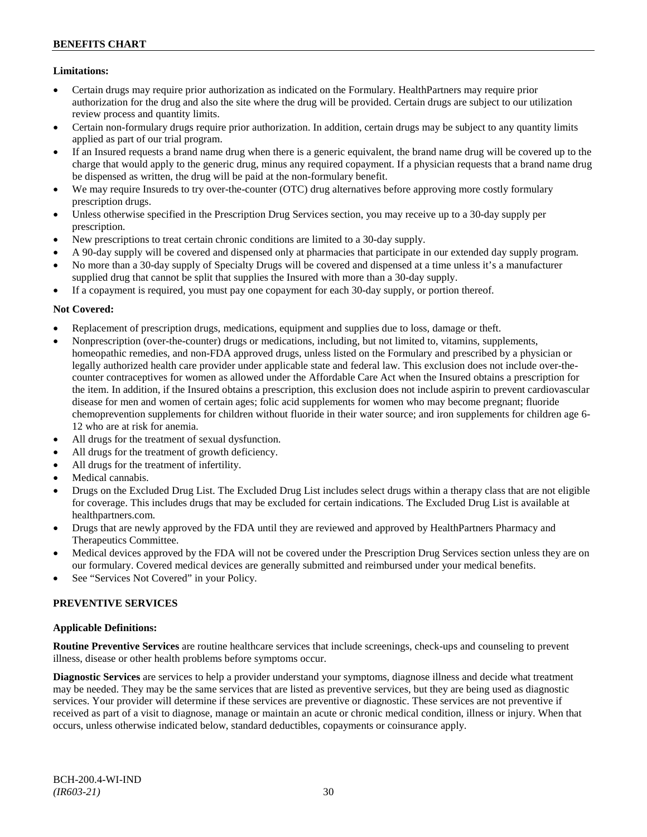# **BENEFITS CHART**

# **Limitations:**

- Certain drugs may require prior authorization as indicated on the Formulary. HealthPartners may require prior authorization for the drug and also the site where the drug will be provided. Certain drugs are subject to our utilization review process and quantity limits.
- Certain non-formulary drugs require prior authorization. In addition, certain drugs may be subject to any quantity limits applied as part of our trial program.
- If an Insured requests a brand name drug when there is a generic equivalent, the brand name drug will be covered up to the charge that would apply to the generic drug, minus any required copayment. If a physician requests that a brand name drug be dispensed as written, the drug will be paid at the non-formulary benefit.
- We may require Insureds to try over-the-counter (OTC) drug alternatives before approving more costly formulary prescription drugs.
- Unless otherwise specified in the Prescription Drug Services section, you may receive up to a 30-day supply per prescription.
- New prescriptions to treat certain chronic conditions are limited to a 30-day supply.
- A 90-day supply will be covered and dispensed only at pharmacies that participate in our extended day supply program.
- No more than a 30-day supply of Specialty Drugs will be covered and dispensed at a time unless it's a manufacturer supplied drug that cannot be split that supplies the Insured with more than a 30-day supply.
- If a copayment is required, you must pay one copayment for each 30-day supply, or portion thereof.

### **Not Covered:**

- Replacement of prescription drugs, medications, equipment and supplies due to loss, damage or theft.
- Nonprescription (over-the-counter) drugs or medications, including, but not limited to, vitamins, supplements, homeopathic remedies, and non-FDA approved drugs, unless listed on the Formulary and prescribed by a physician or legally authorized health care provider under applicable state and federal law. This exclusion does not include over-thecounter contraceptives for women as allowed under the Affordable Care Act when the Insured obtains a prescription for the item. In addition, if the Insured obtains a prescription, this exclusion does not include aspirin to prevent cardiovascular disease for men and women of certain ages; folic acid supplements for women who may become pregnant; fluoride chemoprevention supplements for children without fluoride in their water source; and iron supplements for children age 6- 12 who are at risk for anemia.
- All drugs for the treatment of sexual dysfunction.
- All drugs for the treatment of growth deficiency.
- All drugs for the treatment of infertility.
- Medical cannabis.
- Drugs on the Excluded Drug List. The Excluded Drug List includes select drugs within a therapy class that are not eligible for coverage. This includes drugs that may be excluded for certain indications. The Excluded Drug List is available at [healthpartners.com.](http://www.healthpartners.com/)
- Drugs that are newly approved by the FDA until they are reviewed and approved by HealthPartners Pharmacy and Therapeutics Committee.
- Medical devices approved by the FDA will not be covered under the Prescription Drug Services section unless they are on our formulary. Covered medical devices are generally submitted and reimbursed under your medical benefits.
- See "Services Not Covered" in your Policy.

#### **PREVENTIVE SERVICES**

#### **Applicable Definitions:**

**Routine Preventive Services** are routine healthcare services that include screenings, check-ups and counseling to prevent illness, disease or other health problems before symptoms occur.

**Diagnostic Services** are services to help a provider understand your symptoms, diagnose illness and decide what treatment may be needed. They may be the same services that are listed as preventive services, but they are being used as diagnostic services. Your provider will determine if these services are preventive or diagnostic. These services are not preventive if received as part of a visit to diagnose, manage or maintain an acute or chronic medical condition, illness or injury. When that occurs, unless otherwise indicated below, standard deductibles, copayments or coinsurance apply.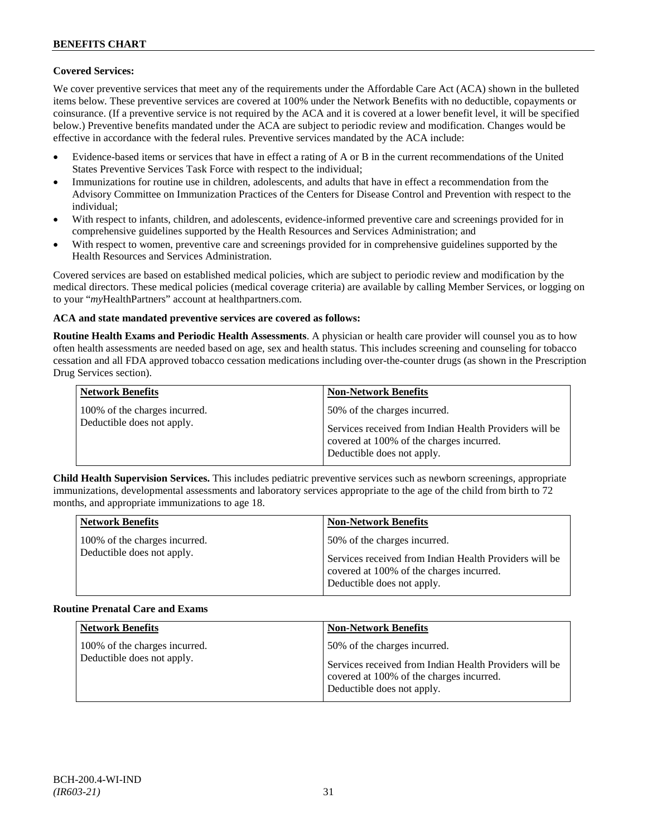# **Covered Services:**

We cover preventive services that meet any of the requirements under the Affordable Care Act (ACA) shown in the bulleted items below. These preventive services are covered at 100% under the Network Benefits with no deductible, copayments or coinsurance. (If a preventive service is not required by the ACA and it is covered at a lower benefit level, it will be specified below.) Preventive benefits mandated under the ACA are subject to periodic review and modification. Changes would be effective in accordance with the federal rules. Preventive services mandated by the ACA include:

- Evidence-based items or services that have in effect a rating of A or B in the current recommendations of the United States Preventive Services Task Force with respect to the individual;
- Immunizations for routine use in children, adolescents, and adults that have in effect a recommendation from the Advisory Committee on Immunization Practices of the Centers for Disease Control and Prevention with respect to the individual;
- With respect to infants, children, and adolescents, evidence-informed preventive care and screenings provided for in comprehensive guidelines supported by the Health Resources and Services Administration; and
- With respect to women, preventive care and screenings provided for in comprehensive guidelines supported by the Health Resources and Services Administration.

Covered services are based on established medical policies, which are subject to periodic review and modification by the medical directors. These medical policies (medical coverage criteria) are available by calling Member Services, or logging on to your "*my*HealthPartners" account at [healthpartners.com.](http://www.healthpartners.com/)

### **ACA and state mandated preventive services are covered as follows:**

**Routine Health Exams and Periodic Health Assessments**. A physician or health care provider will counsel you as to how often health assessments are needed based on age, sex and health status. This includes screening and counseling for tobacco cessation and all FDA approved tobacco cessation medications including over-the-counter drugs (as shown in the Prescription Drug Services section).

| <b>Network Benefits</b>                                     | <b>Non-Network Benefits</b>                                                                                                                                      |
|-------------------------------------------------------------|------------------------------------------------------------------------------------------------------------------------------------------------------------------|
| 100% of the charges incurred.<br>Deductible does not apply. | 50% of the charges incurred.<br>Services received from Indian Health Providers will be<br>covered at 100% of the charges incurred.<br>Deductible does not apply. |

**Child Health Supervision Services.** This includes pediatric preventive services such as newborn screenings, appropriate immunizations, developmental assessments and laboratory services appropriate to the age of the child from birth to 72 months, and appropriate immunizations to age 18.

| <b>Network Benefits</b>                                     | <b>Non-Network Benefits</b>                                                                                                                                      |
|-------------------------------------------------------------|------------------------------------------------------------------------------------------------------------------------------------------------------------------|
| 100% of the charges incurred.<br>Deductible does not apply. | 50% of the charges incurred.<br>Services received from Indian Health Providers will be<br>covered at 100% of the charges incurred.<br>Deductible does not apply. |

#### **Routine Prenatal Care and Exams**

| <b>Network Benefits</b>                                     | <b>Non-Network Benefits</b>                                                                                                                                      |
|-------------------------------------------------------------|------------------------------------------------------------------------------------------------------------------------------------------------------------------|
| 100% of the charges incurred.<br>Deductible does not apply. | 50% of the charges incurred.<br>Services received from Indian Health Providers will be<br>covered at 100% of the charges incurred.<br>Deductible does not apply. |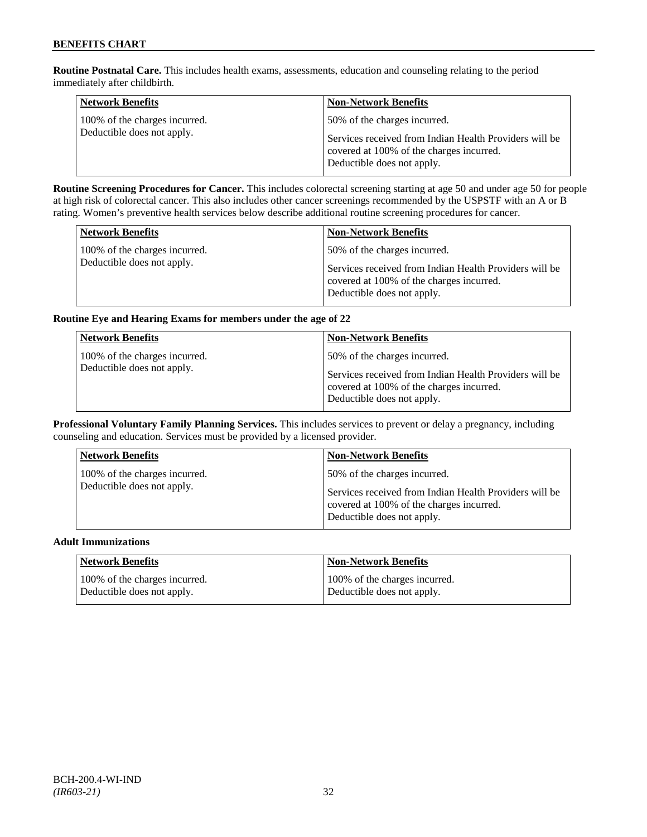**Routine Postnatal Care.** This includes health exams, assessments, education and counseling relating to the period immediately after childbirth.

| <b>Network Benefits</b>                                     | <b>Non-Network Benefits</b>                                                                                                      |
|-------------------------------------------------------------|----------------------------------------------------------------------------------------------------------------------------------|
| 100% of the charges incurred.<br>Deductible does not apply. | 50% of the charges incurred.                                                                                                     |
|                                                             | Services received from Indian Health Providers will be<br>covered at 100% of the charges incurred.<br>Deductible does not apply. |

**Routine Screening Procedures for Cancer.** This includes colorectal screening starting at age 50 and under age 50 for people at high risk of colorectal cancer. This also includes other cancer screenings recommended by the USPSTF with an A or B rating. Women's preventive health services below describe additional routine screening procedures for cancer.

| <b>Network Benefits</b>       | <b>Non-Network Benefits</b>                                                                                                      |
|-------------------------------|----------------------------------------------------------------------------------------------------------------------------------|
| 100% of the charges incurred. | 50% of the charges incurred.                                                                                                     |
| Deductible does not apply.    | Services received from Indian Health Providers will be<br>covered at 100% of the charges incurred.<br>Deductible does not apply. |

# **Routine Eye and Hearing Exams for members under the age of 22**

| <b>Network Benefits</b>                                     | <b>Non-Network Benefits</b>                                                                                                                                      |
|-------------------------------------------------------------|------------------------------------------------------------------------------------------------------------------------------------------------------------------|
| 100% of the charges incurred.<br>Deductible does not apply. | 50% of the charges incurred.<br>Services received from Indian Health Providers will be<br>covered at 100% of the charges incurred.<br>Deductible does not apply. |

**Professional Voluntary Family Planning Services.** This includes services to prevent or delay a pregnancy, including counseling and education. Services must be provided by a licensed provider.

| <b>Network Benefits</b>       | <b>Non-Network Benefits</b>                                                                                                      |
|-------------------------------|----------------------------------------------------------------------------------------------------------------------------------|
| 100% of the charges incurred. | 50% of the charges incurred.                                                                                                     |
| Deductible does not apply.    | Services received from Indian Health Providers will be<br>covered at 100% of the charges incurred.<br>Deductible does not apply. |

#### **Adult Immunizations**

| Network Benefits              | <b>Non-Network Benefits</b>   |
|-------------------------------|-------------------------------|
| 100% of the charges incurred. | 100% of the charges incurred. |
| Deductible does not apply.    | Deductible does not apply.    |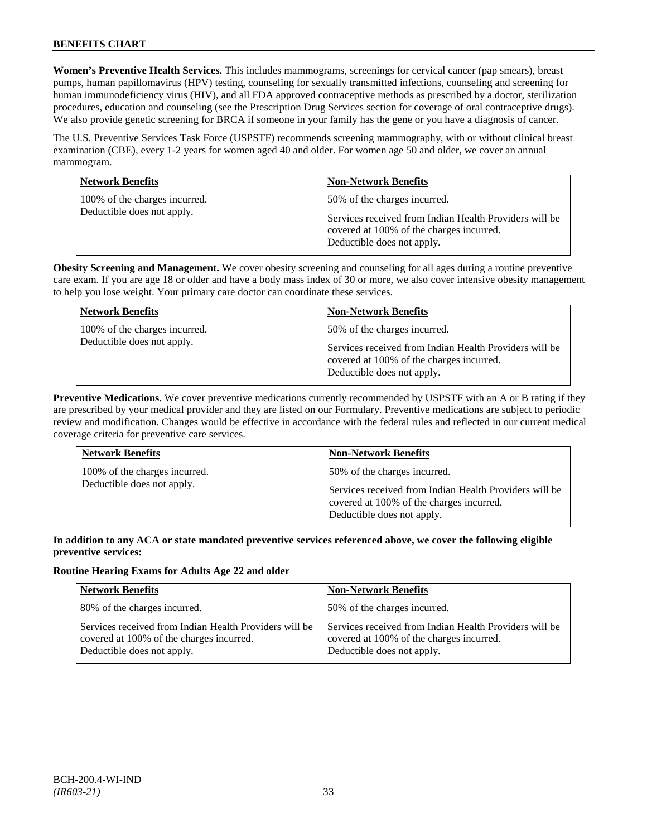# **BENEFITS CHART**

**Women's Preventive Health Services.** This includes mammograms, screenings for cervical cancer (pap smears), breast pumps, human papillomavirus (HPV) testing, counseling for sexually transmitted infections, counseling and screening for human immunodeficiency virus (HIV), and all FDA approved contraceptive methods as prescribed by a doctor, sterilization procedures, education and counseling (see the Prescription Drug Services section for coverage of oral contraceptive drugs). We also provide genetic screening for BRCA if someone in your family has the gene or you have a diagnosis of cancer.

The U.S. Preventive Services Task Force (USPSTF) recommends screening mammography, with or without clinical breast examination (CBE), every 1-2 years for women aged 40 and older. For women age 50 and older, we cover an annual mammogram.

| <b>Network Benefits</b>                                     | <b>Non-Network Benefits</b>                                                                                                                                      |
|-------------------------------------------------------------|------------------------------------------------------------------------------------------------------------------------------------------------------------------|
| 100% of the charges incurred.<br>Deductible does not apply. | 50% of the charges incurred.<br>Services received from Indian Health Providers will be<br>covered at 100% of the charges incurred.<br>Deductible does not apply. |

**Obesity Screening and Management.** We cover obesity screening and counseling for all ages during a routine preventive care exam. If you are age 18 or older and have a body mass index of 30 or more, we also cover intensive obesity management to help you lose weight. Your primary care doctor can coordinate these services.

| <b>Network Benefits</b>                                     | <b>Non-Network Benefits</b>                                                                                                                                      |
|-------------------------------------------------------------|------------------------------------------------------------------------------------------------------------------------------------------------------------------|
| 100% of the charges incurred.<br>Deductible does not apply. | 50% of the charges incurred.<br>Services received from Indian Health Providers will be<br>covered at 100% of the charges incurred.<br>Deductible does not apply. |

**Preventive Medications.** We cover preventive medications currently recommended by USPSTF with an A or B rating if they are prescribed by your medical provider and they are listed on our Formulary. Preventive medications are subject to periodic review and modification. Changes would be effective in accordance with the federal rules and reflected in our current medical coverage criteria for preventive care services.

| <b>Network Benefits</b>                                     | <b>Non-Network Benefits</b>                                                                                                                                      |
|-------------------------------------------------------------|------------------------------------------------------------------------------------------------------------------------------------------------------------------|
| 100% of the charges incurred.<br>Deductible does not apply. | 50% of the charges incurred.<br>Services received from Indian Health Providers will be<br>covered at 100% of the charges incurred.<br>Deductible does not apply. |

### **In addition to any ACA or state mandated preventive services referenced above, we cover the following eligible preventive services:**

# **Routine Hearing Exams for Adults Age 22 and older**

| <b>Network Benefits</b>                                                                                                          | <b>Non-Network Benefits</b>                                                                                                      |
|----------------------------------------------------------------------------------------------------------------------------------|----------------------------------------------------------------------------------------------------------------------------------|
| 80% of the charges incurred.                                                                                                     | 50% of the charges incurred.                                                                                                     |
| Services received from Indian Health Providers will be<br>covered at 100% of the charges incurred.<br>Deductible does not apply. | Services received from Indian Health Providers will be<br>covered at 100% of the charges incurred.<br>Deductible does not apply. |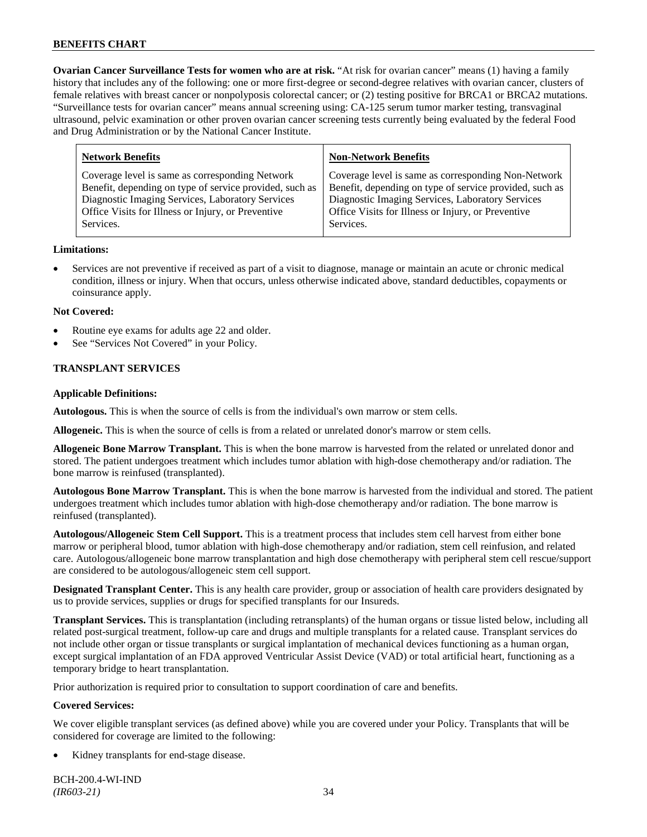**Ovarian Cancer Surveillance Tests for women who are at risk.** "At risk for ovarian cancer" means (1) having a family history that includes any of the following: one or more first-degree or second-degree relatives with ovarian cancer, clusters of female relatives with breast cancer or nonpolyposis colorectal cancer; or (2) testing positive for BRCA1 or BRCA2 mutations. "Surveillance tests for ovarian cancer" means annual screening using: CA-125 serum tumor marker testing, transvaginal ultrasound, pelvic examination or other proven ovarian cancer screening tests currently being evaluated by the federal Food and Drug Administration or by the National Cancer Institute.

| <b>Network Benefits</b>                                 | <b>Non-Network Benefits</b>                             |
|---------------------------------------------------------|---------------------------------------------------------|
| Coverage level is same as corresponding Network         | Coverage level is same as corresponding Non-Network     |
| Benefit, depending on type of service provided, such as | Benefit, depending on type of service provided, such as |
| Diagnostic Imaging Services, Laboratory Services        | Diagnostic Imaging Services, Laboratory Services        |
| Office Visits for Illness or Injury, or Preventive      | Office Visits for Illness or Injury, or Preventive      |
| Services.                                               | Services.                                               |
|                                                         |                                                         |

### **Limitations:**

• Services are not preventive if received as part of a visit to diagnose, manage or maintain an acute or chronic medical condition, illness or injury. When that occurs, unless otherwise indicated above, standard deductibles, copayments or coinsurance apply.

### **Not Covered:**

- Routine eye exams for adults age 22 and older.
- See "Services Not Covered" in your Policy.

# **TRANSPLANT SERVICES**

### **Applicable Definitions:**

**Autologous.** This is when the source of cells is from the individual's own marrow or stem cells.

**Allogeneic.** This is when the source of cells is from a related or unrelated donor's marrow or stem cells.

**Allogeneic Bone Marrow Transplant.** This is when the bone marrow is harvested from the related or unrelated donor and stored. The patient undergoes treatment which includes tumor ablation with high-dose chemotherapy and/or radiation. The bone marrow is reinfused (transplanted).

**Autologous Bone Marrow Transplant.** This is when the bone marrow is harvested from the individual and stored. The patient undergoes treatment which includes tumor ablation with high-dose chemotherapy and/or radiation. The bone marrow is reinfused (transplanted).

**Autologous/Allogeneic Stem Cell Support.** This is a treatment process that includes stem cell harvest from either bone marrow or peripheral blood, tumor ablation with high-dose chemotherapy and/or radiation, stem cell reinfusion, and related care. Autologous/allogeneic bone marrow transplantation and high dose chemotherapy with peripheral stem cell rescue/support are considered to be autologous/allogeneic stem cell support.

**Designated Transplant Center.** This is any health care provider, group or association of health care providers designated by us to provide services, supplies or drugs for specified transplants for our Insureds.

**Transplant Services.** This is transplantation (including retransplants) of the human organs or tissue listed below, including all related post-surgical treatment, follow-up care and drugs and multiple transplants for a related cause. Transplant services do not include other organ or tissue transplants or surgical implantation of mechanical devices functioning as a human organ, except surgical implantation of an FDA approved Ventricular Assist Device (VAD) or total artificial heart, functioning as a temporary bridge to heart transplantation.

Prior authorization is required prior to consultation to support coordination of care and benefits.

# **Covered Services:**

We cover eligible transplant services (as defined above) while you are covered under your Policy. Transplants that will be considered for coverage are limited to the following:

Kidney transplants for end-stage disease.

BCH-200.4-WI-IND *(IR603-21)* 34